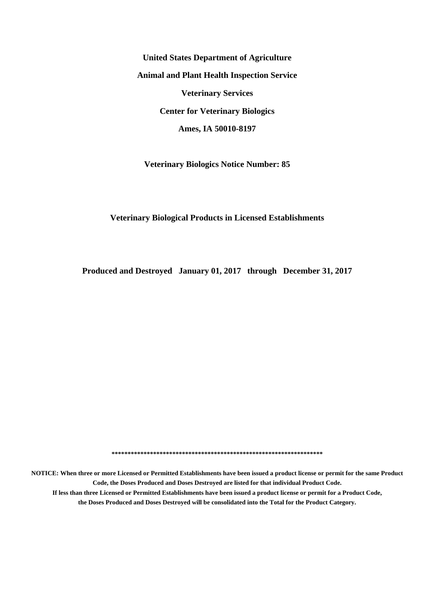**United States Department of Agriculture Animal and Plant Health Inspection Service Veterinary Services Center for Veterinary Biologics Ames, IA 50010-8197**

**Veterinary Biologics Notice Number: 85**

#### **Veterinary Biological Products in Licensed Establishments**

**Produced and Destroyed January 01, 2017 through December 31, 2017**

**\*\*\*\*\*\*\*\*\*\*\*\*\*\*\*\*\*\*\*\*\*\*\*\*\*\*\*\*\*\*\*\*\*\*\*\*\*\*\*\*\*\*\*\*\*\*\*\*\*\*\*\*\*\*\*\*\*\*\*\*\*\*\*\*\*\***

**NOTICE: When three or more Licensed or Permitted Establishments have been issued a product license or permit for the same Product Code, the Doses Produced and Doses Destroyed are listed for that individual Product Code. If less than three Licensed or Permitted Establishments have been issued a product license or permit for a Product Code, the Doses Produced and Doses Destroyed will be consolidated into the Total for the Product Category.**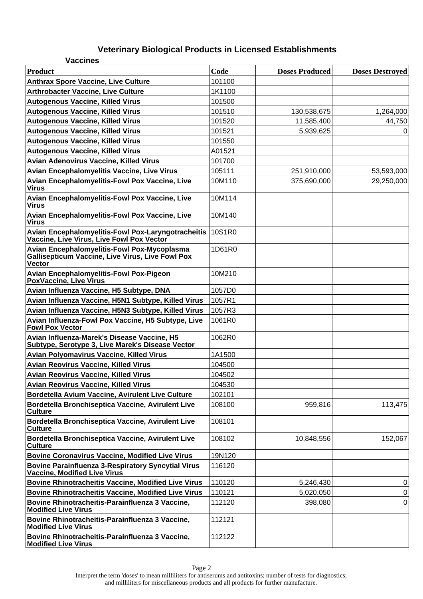| <b>Vaccines</b>                                                                                                         |        |                       |                        |
|-------------------------------------------------------------------------------------------------------------------------|--------|-----------------------|------------------------|
| Product                                                                                                                 | Code   | <b>Doses Produced</b> | <b>Doses Destroyed</b> |
| <b>Anthrax Spore Vaccine, Live Culture</b>                                                                              | 101100 |                       |                        |
| <b>Arthrobacter Vaccine, Live Culture</b>                                                                               | 1K1100 |                       |                        |
| <b>Autogenous Vaccine, Killed Virus</b>                                                                                 | 101500 |                       |                        |
| <b>Autogenous Vaccine, Killed Virus</b>                                                                                 | 101510 | 130,538,675           | 1,264,000              |
| <b>Autogenous Vaccine, Killed Virus</b>                                                                                 | 101520 | 11,585,400            | 44,750                 |
| <b>Autogenous Vaccine, Killed Virus</b>                                                                                 | 101521 | 5,939,625             | 0                      |
| <b>Autogenous Vaccine, Killed Virus</b>                                                                                 | 101550 |                       |                        |
| <b>Autogenous Vaccine, Killed Virus</b>                                                                                 | A01521 |                       |                        |
| <b>Avian Adenovirus Vaccine, Killed Virus</b>                                                                           | 101700 |                       |                        |
| <b>Avian Encephalomyelitis Vaccine, Live Virus</b>                                                                      | 105111 | 251,910,000           | 53,593,000             |
| Avian Encephalomyelitis-Fowl Pox Vaccine, Live<br><b>Virus</b>                                                          | 10M110 | 375,690,000           | 29,250,000             |
| Avian Encephalomyelitis-Fowl Pox Vaccine, Live<br><b>Virus</b>                                                          | 10M114 |                       |                        |
| Avian Encephalomyelitis-Fowl Pox Vaccine, Live<br><b>Virus</b>                                                          | 10M140 |                       |                        |
| <b>Avian Encephalomyelitis-Fowl Pox-Laryngotracheitis</b><br>Vaccine, Live Virus, Live Fowl Pox Vector                  | 10S1R0 |                       |                        |
| Avian Encephalomyelitis-Fowl Pox-Mycoplasma<br><b>Gallisepticum Vaccine, Live Virus, Live Fowl Pox</b><br><b>Vector</b> | 1D61R0 |                       |                        |
| <b>Avian Encephalomyelitis-Fowl Pox-Pigeon</b><br>PoxVaccine, Live Virus                                                | 10M210 |                       |                        |
| Avian Influenza Vaccine, H5 Subtype, DNA                                                                                | 1057D0 |                       |                        |
| Avian Influenza Vaccine, H5N1 Subtype, Killed Virus                                                                     | 1057R1 |                       |                        |
| Avian Influenza Vaccine, H5N3 Subtype, Killed Virus                                                                     | 1057R3 |                       |                        |
| Avian Influenza-Fowl Pox Vaccine, H5 Subtype, Live<br><b>Fowl Pox Vector</b>                                            | 1061R0 |                       |                        |
| Avian Influenza-Marek's Disease Vaccine, H5<br>Subtype, Serotype 3, Live Marek's Disease Vector                         | 1062R0 |                       |                        |
| <b>Avian Polyomavirus Vaccine, Killed Virus</b>                                                                         | 1A1500 |                       |                        |
| <b>Avian Reovirus Vaccine, Killed Virus</b>                                                                             | 104500 |                       |                        |
| <b>Avian Reovirus Vaccine, Killed Virus</b>                                                                             | 104502 |                       |                        |
| <b>Avian Reovirus Vaccine, Killed Virus</b>                                                                             | 104530 |                       |                        |
| Bordetella Avium Vaccine, Avirulent Live Culture                                                                        | 102101 |                       |                        |
| Bordetella Bronchiseptica Vaccine, Avirulent Live<br><b>Culture</b>                                                     | 108100 | 959,816               | 113,475                |
| Bordetella Bronchiseptica Vaccine, Avirulent Live<br><b>Culture</b>                                                     | 108101 |                       |                        |
| Bordetella Bronchiseptica Vaccine, Avirulent Live<br><b>Culture</b>                                                     | 108102 | 10,848,556            | 152,067                |
| <b>Bovine Coronavirus Vaccine, Modified Live Virus</b>                                                                  | 19N120 |                       |                        |
| <b>Bovine Parainfluenza 3-Respiratory Syncytial Virus</b><br><b>Vaccine, Modified Live Virus</b>                        | 116120 |                       |                        |
| <b>Bovine Rhinotracheitis Vaccine, Modified Live Virus</b>                                                              | 110120 | 5,246,430             | 0                      |
| <b>Bovine Rhinotracheitis Vaccine, Modified Live Virus</b>                                                              | 110121 | 5,020,050             | 0                      |
| Bovine Rhinotracheitis-Parainfluenza 3 Vaccine,<br><b>Modified Live Virus</b>                                           | 112120 | 398,080               | 0                      |
| Bovine Rhinotracheitis-Parainfluenza 3 Vaccine,<br><b>Modified Live Virus</b>                                           | 112121 |                       |                        |
| Bovine Rhinotracheitis-Parainfluenza 3 Vaccine,<br><b>Modified Live Virus</b>                                           | 112122 |                       |                        |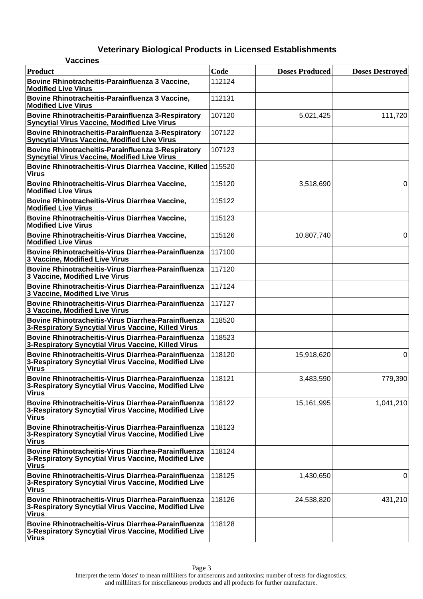| <b>Vaccines</b>                                                                                                             |        |                       |                        |
|-----------------------------------------------------------------------------------------------------------------------------|--------|-----------------------|------------------------|
| Product                                                                                                                     | Code   | <b>Doses Produced</b> | <b>Doses Destroyed</b> |
| Bovine Rhinotracheitis-Parainfluenza 3 Vaccine,<br><b>Modified Live Virus</b>                                               | 112124 |                       |                        |
| Bovine Rhinotracheitis-Parainfluenza 3 Vaccine,<br><b>Modified Live Virus</b>                                               | 112131 |                       |                        |
| Bovine Rhinotracheitis-Parainfluenza 3-Respiratory<br>Syncytial Virus Vaccine, Modified Live Virus                          | 107120 | 5,021,425             | 111,720                |
| Bovine Rhinotracheitis-Parainfluenza 3-Respiratory<br><b>Syncytial Virus Vaccine, Modified Live Virus</b>                   | 107122 |                       |                        |
| Bovine Rhinotracheitis-Parainfluenza 3-Respiratory<br><b>Syncytial Virus Vaccine, Modified Live Virus</b>                   | 107123 |                       |                        |
| Bovine Rhinotracheitis-Virus Diarrhea Vaccine, Killed 115520<br><b>Virus</b>                                                |        |                       |                        |
| Bovine Rhinotracheitis-Virus Diarrhea Vaccine,<br><b>Modified Live Virus</b>                                                | 115120 | 3,518,690             | 0                      |
| Bovine Rhinotracheitis-Virus Diarrhea Vaccine,<br><b>Modified Live Virus</b>                                                | 115122 |                       |                        |
| Bovine Rhinotracheitis-Virus Diarrhea Vaccine,<br><b>Modified Live Virus</b>                                                | 115123 |                       |                        |
| Bovine Rhinotracheitis-Virus Diarrhea Vaccine,<br><b>Modified Live Virus</b>                                                | 115126 | 10,807,740            | 0                      |
| Bovine Rhinotracheitis-Virus Diarrhea-Parainfluenza<br>3 Vaccine, Modified Live Virus                                       | 117100 |                       |                        |
| Bovine Rhinotracheitis-Virus Diarrhea-Parainfluenza<br>3 Vaccine, Modified Live Virus                                       | 117120 |                       |                        |
| Bovine Rhinotracheitis-Virus Diarrhea-Parainfluenza<br>3 Vaccine, Modified Live Virus                                       | 117124 |                       |                        |
| Bovine Rhinotracheitis-Virus Diarrhea-Parainfluenza<br>3 Vaccine, Modified Live Virus                                       | 117127 |                       |                        |
| Bovine Rhinotracheitis-Virus Diarrhea-Parainfluenza<br>3-Respiratory Syncytial Virus Vaccine, Killed Virus                  | 118520 |                       |                        |
| Bovine Rhinotracheitis-Virus Diarrhea-Parainfluenza<br>3-Respiratory Syncytial Virus Vaccine, Killed Virus                  | 118523 |                       |                        |
| Bovine Rhinotracheitis-Virus Diarrhea-Parainfluenza<br>3-Respiratory Syncytial Virus Vaccine, Modified Live<br>Virus        | 118120 | 15,918,620            | 0                      |
| Bovine Rhinotracheitis-Virus Diarrhea-Parainfluenza<br>3-Respiratory Syncytial Virus Vaccine, Modified Live<br><b>Virus</b> | 118121 | 3,483,590             | 779,390                |
| Bovine Rhinotracheitis-Virus Diarrhea-Parainfluenza<br>3-Respiratory Syncytial Virus Vaccine, Modified Live<br><b>Virus</b> | 118122 | 15,161,995            | 1,041,210              |
| Bovine Rhinotracheitis-Virus Diarrhea-Parainfluenza<br>3-Respiratory Syncytial Virus Vaccine, Modified Live<br>Virus        | 118123 |                       |                        |
| Bovine Rhinotracheitis-Virus Diarrhea-Parainfluenza<br>3-Respiratory Syncytial Virus Vaccine, Modified Live<br>Virus        | 118124 |                       |                        |
| Bovine Rhinotracheitis-Virus Diarrhea-Parainfluenza<br>3-Respiratory Syncytial Virus Vaccine, Modified Live<br><b>Virus</b> | 118125 | 1,430,650             | 0                      |
| Bovine Rhinotracheitis-Virus Diarrhea-Parainfluenza<br>3-Respiratory Syncytial Virus Vaccine, Modified Live<br><b>Virus</b> | 118126 | 24,538,820            | 431,210                |
| Bovine Rhinotracheitis-Virus Diarrhea-Parainfluenza<br>3-Respiratory Syncytial Virus Vaccine, Modified Live<br><b>Virus</b> | 118128 |                       |                        |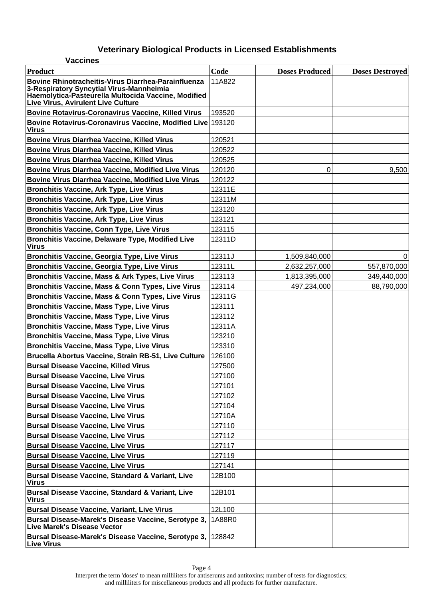| <b>Vaccines</b>                                                                                                                                                                              |        |                       |                        |
|----------------------------------------------------------------------------------------------------------------------------------------------------------------------------------------------|--------|-----------------------|------------------------|
| <b>Product</b>                                                                                                                                                                               | Code   | <b>Doses Produced</b> | <b>Doses Destroyed</b> |
| Bovine Rhinotracheitis-Virus Diarrhea-Parainfluenza<br>3-Respiratory Syncytial Virus-Mannheimia<br>Haemolytica-Pasteurella Multocida Vaccine, Modified<br>Live Virus, Avirulent Live Culture | 11A822 |                       |                        |
| <b>Bovine Rotavirus-Coronavirus Vaccine, Killed Virus</b>                                                                                                                                    | 193520 |                       |                        |
| Bovine Rotavirus-Coronavirus Vaccine, Modified Live<br><b>Virus</b>                                                                                                                          | 193120 |                       |                        |
| <b>Bovine Virus Diarrhea Vaccine, Killed Virus</b>                                                                                                                                           | 120521 |                       |                        |
| <b>Bovine Virus Diarrhea Vaccine, Killed Virus</b>                                                                                                                                           | 120522 |                       |                        |
| <b>Bovine Virus Diarrhea Vaccine, Killed Virus</b>                                                                                                                                           | 120525 |                       |                        |
| <b>Bovine Virus Diarrhea Vaccine, Modified Live Virus</b>                                                                                                                                    | 120120 | 0                     | 9,500                  |
| <b>Bovine Virus Diarrhea Vaccine, Modified Live Virus</b>                                                                                                                                    | 120122 |                       |                        |
| <b>Bronchitis Vaccine, Ark Type, Live Virus</b>                                                                                                                                              | 12311E |                       |                        |
| <b>Bronchitis Vaccine, Ark Type, Live Virus</b>                                                                                                                                              | 12311M |                       |                        |
| <b>Bronchitis Vaccine, Ark Type, Live Virus</b>                                                                                                                                              | 123120 |                       |                        |
| <b>Bronchitis Vaccine, Ark Type, Live Virus</b>                                                                                                                                              | 123121 |                       |                        |
| <b>Bronchitis Vaccine, Conn Type, Live Virus</b>                                                                                                                                             | 123115 |                       |                        |
| <b>Bronchitis Vaccine, Delaware Type, Modified Live</b><br><b>Virus</b>                                                                                                                      | 12311D |                       |                        |
| <b>Bronchitis Vaccine, Georgia Type, Live Virus</b>                                                                                                                                          | 12311J | 1,509,840,000         | 0                      |
| <b>Bronchitis Vaccine, Georgia Type, Live Virus</b>                                                                                                                                          | 12311L | 2,632,257,000         | 557,870,000            |
| <b>Bronchitis Vaccine, Mass &amp; Ark Types, Live Virus</b>                                                                                                                                  | 123113 | 1,813,395,000         | 349,440,000            |
| Bronchitis Vaccine, Mass & Conn Types, Live Virus                                                                                                                                            | 123114 | 497,234,000           | 88,790,000             |
| <b>Bronchitis Vaccine, Mass &amp; Conn Types, Live Virus</b>                                                                                                                                 | 12311G |                       |                        |
| <b>Bronchitis Vaccine, Mass Type, Live Virus</b>                                                                                                                                             | 123111 |                       |                        |
| <b>Bronchitis Vaccine, Mass Type, Live Virus</b>                                                                                                                                             | 123112 |                       |                        |
| <b>Bronchitis Vaccine, Mass Type, Live Virus</b>                                                                                                                                             | 12311A |                       |                        |
| <b>Bronchitis Vaccine, Mass Type, Live Virus</b>                                                                                                                                             | 123210 |                       |                        |
| <b>Bronchitis Vaccine, Mass Type, Live Virus</b>                                                                                                                                             | 123310 |                       |                        |
| Brucella Abortus Vaccine, Strain RB-51, Live Culture                                                                                                                                         | 126100 |                       |                        |
| <b>Bursal Disease Vaccine, Killed Virus</b>                                                                                                                                                  | 127500 |                       |                        |
| <b>Bursal Disease Vaccine, Live Virus</b>                                                                                                                                                    | 127100 |                       |                        |
| <b>Bursal Disease Vaccine, Live Virus</b>                                                                                                                                                    | 127101 |                       |                        |
| <b>Bursal Disease Vaccine, Live Virus</b>                                                                                                                                                    | 127102 |                       |                        |
| <b>Bursal Disease Vaccine, Live Virus</b>                                                                                                                                                    | 127104 |                       |                        |
| <b>Bursal Disease Vaccine, Live Virus</b>                                                                                                                                                    | 12710A |                       |                        |
| <b>Bursal Disease Vaccine, Live Virus</b>                                                                                                                                                    | 127110 |                       |                        |
| <b>Bursal Disease Vaccine, Live Virus</b>                                                                                                                                                    | 127112 |                       |                        |
| <b>Bursal Disease Vaccine, Live Virus</b>                                                                                                                                                    | 127117 |                       |                        |
| <b>Bursal Disease Vaccine, Live Virus</b>                                                                                                                                                    | 127119 |                       |                        |
| <b>Bursal Disease Vaccine, Live Virus</b>                                                                                                                                                    | 127141 |                       |                        |
| <b>Bursal Disease Vaccine, Standard &amp; Variant, Live</b><br><b>Virus</b>                                                                                                                  | 12B100 |                       |                        |
| <b>Bursal Disease Vaccine, Standard &amp; Variant, Live</b><br><b>Virus</b>                                                                                                                  | 12B101 |                       |                        |
| <b>Bursal Disease Vaccine, Variant, Live Virus</b>                                                                                                                                           | 12L100 |                       |                        |
| Bursal Disease-Marek's Disease Vaccine, Serotype 3,<br><b>Live Marek's Disease Vector</b>                                                                                                    | 1A88R0 |                       |                        |
| Bursal Disease-Marek's Disease Vaccine, Serotype 3,<br><b>Live Virus</b>                                                                                                                     | 128842 |                       |                        |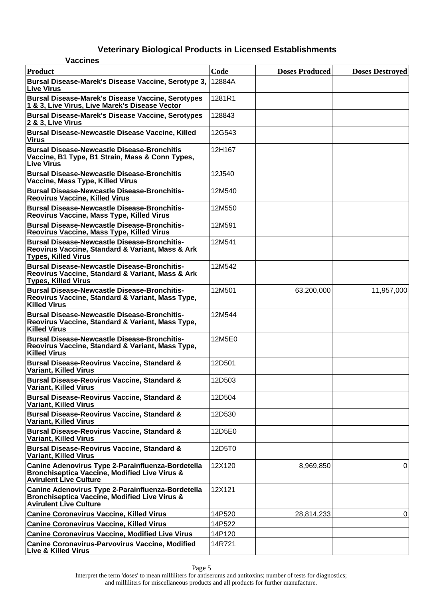| <b>Vaccines</b>                                                                                                                                |        |                       |                        |
|------------------------------------------------------------------------------------------------------------------------------------------------|--------|-----------------------|------------------------|
| Product                                                                                                                                        | Code   | <b>Doses Produced</b> | <b>Doses Destroyed</b> |
| Bursal Disease-Marek's Disease Vaccine, Serotype 3,<br>⊺Live Virus                                                                             | 12884A |                       |                        |
| <b>Bursal Disease-Marek's Disease Vaccine, Serotypes</b><br>1 & 3, Live Virus, Live Marek's Disease Vector                                     | 1281R1 |                       |                        |
| <b>Bursal Disease-Marek's Disease Vaccine, Serotypes</b><br>2 & 3, Live Virus                                                                  | 128843 |                       |                        |
| <b>Bursal Disease-Newcastle Disease Vaccine, Killed</b><br><b>Virus</b>                                                                        | 12G543 |                       |                        |
| <b>Bursal Disease-Newcastle Disease-Bronchitis</b><br>Vaccine, B1 Type, B1 Strain, Mass & Conn Types,<br><b>Live Virus</b>                     | 12H167 |                       |                        |
| <b>Bursal Disease-Newcastle Disease-Bronchitis</b><br>Vaccine, Mass Type, Killed Virus                                                         | 12J540 |                       |                        |
| <b>Bursal Disease-Newcastle Disease-Bronchitis-</b><br><b>Reovirus Vaccine, Killed Virus</b>                                                   | 12M540 |                       |                        |
| <b>Bursal Disease-Newcastle Disease-Bronchitis-</b><br>Reovirus Vaccine, Mass Type, Killed Virus                                               | 12M550 |                       |                        |
| <b>Bursal Disease-Newcastle Disease-Bronchitis-</b><br>Reovirus Vaccine, Mass Type, Killed Virus                                               | 12M591 |                       |                        |
| <b>Bursal Disease-Newcastle Disease-Bronchitis-</b><br>Reovirus Vaccine, Standard & Variant, Mass & Ark<br><b>Types, Killed Virus</b>          | 12M541 |                       |                        |
| <b>Bursal Disease-Newcastle Disease-Bronchitis-</b><br>Reovirus Vaccine, Standard & Variant, Mass & Ark<br><b>Types, Killed Virus</b>          | 12M542 |                       |                        |
| <b>Bursal Disease-Newcastle Disease-Bronchitis-</b><br>Reovirus Vaccine, Standard & Variant, Mass Type,<br><b>Killed Virus</b>                 | 12M501 | 63,200,000            | 11,957,000             |
| <b>Bursal Disease-Newcastle Disease-Bronchitis-</b><br>Reovirus Vaccine, Standard & Variant, Mass Type,<br><b>Killed Virus</b>                 | 12M544 |                       |                        |
| <b>Bursal Disease-Newcastle Disease-Bronchitis-</b><br>Reovirus Vaccine, Standard & Variant, Mass Type,<br><b>Killed Virus</b>                 | 12M5E0 |                       |                        |
| <b>Bursal Disease-Reovirus Vaccine, Standard &amp;</b><br><b>Variant, Killed Virus</b>                                                         | 12D501 |                       |                        |
| <b>Bursal Disease-Reovirus Vaccine, Standard &amp;</b><br><b>Variant, Killed Virus</b>                                                         | 12D503 |                       |                        |
| <b>Bursal Disease-Reovirus Vaccine, Standard &amp;</b><br><b>Variant, Killed Virus</b>                                                         | 12D504 |                       |                        |
| <b>Bursal Disease-Reovirus Vaccine, Standard &amp;</b><br><b>Variant, Killed Virus</b>                                                         | 12D530 |                       |                        |
| <b>Bursal Disease-Reovirus Vaccine, Standard &amp;</b><br><b>Variant, Killed Virus</b>                                                         | 12D5E0 |                       |                        |
| <b>Bursal Disease-Reovirus Vaccine, Standard &amp;</b><br><b>Variant, Killed Virus</b>                                                         | 12D5T0 |                       |                        |
| Canine Adenovirus Type 2-Parainfluenza-Bordetella<br><b>Bronchiseptica Vaccine, Modified Live Virus &amp;</b><br><b>Avirulent Live Culture</b> | 12X120 | 8,969,850             | 0                      |
| Canine Adenovirus Type 2-Parainfluenza-Bordetella<br><b>Bronchiseptica Vaccine, Modified Live Virus &amp;</b><br><b>Avirulent Live Culture</b> | 12X121 |                       |                        |
| <b>Canine Coronavirus Vaccine, Killed Virus</b>                                                                                                | 14P520 | 28,814,233            | 0                      |
| <b>Canine Coronavirus Vaccine, Killed Virus</b>                                                                                                | 14P522 |                       |                        |
| <b>Canine Coronavirus Vaccine, Modified Live Virus</b>                                                                                         | 14P120 |                       |                        |
| <b>Canine Coronavirus-Parvovirus Vaccine, Modified</b><br><b>Live &amp; Killed Virus</b>                                                       | 14R721 |                       |                        |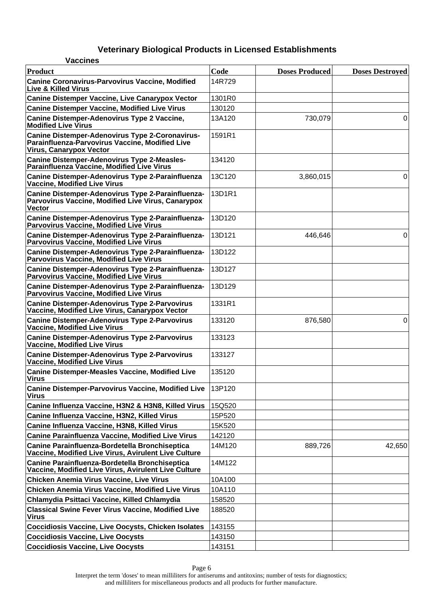| <b>Vaccines</b>                                                                                                                             |        |                       |                        |
|---------------------------------------------------------------------------------------------------------------------------------------------|--------|-----------------------|------------------------|
| Product                                                                                                                                     | Code   | <b>Doses Produced</b> | <b>Doses Destroyed</b> |
| <b>Canine Coronavirus-Parvovirus Vaccine, Modified</b><br><b>Live &amp; Killed Virus</b>                                                    | 14R729 |                       |                        |
| <b>Canine Distemper Vaccine, Live Canarypox Vector</b>                                                                                      | 1301R0 |                       |                        |
| <b>Canine Distemper Vaccine, Modified Live Virus</b>                                                                                        | 130120 |                       |                        |
| <b>Canine Distemper-Adenovirus Type 2 Vaccine,</b><br><b>Modified Live Virus</b>                                                            | 13A120 | 730,079               | 0                      |
| <b>Canine Distemper-Adenovirus Type 2-Coronavirus-</b><br>Parainfluenza-Parvovirus Vaccine, Modified Live<br><b>Virus, Canarypox Vector</b> | 1591R1 |                       |                        |
| <b>Canine Distemper-Adenovirus Type 2-Measles-</b><br>Parainfluenza Vaccine, Modified Live Virus                                            | 134120 |                       |                        |
| Canine Distemper-Adenovirus Type 2-Parainfluenza<br><b>Vaccine, Modified Live Virus</b>                                                     | 13C120 | 3,860,015             | 0                      |
| Canine Distemper-Adenovirus Type 2-Parainfluenza-<br>Parvovirus Vaccine, Modified Live Virus, Canarypox<br><b>Vector</b>                    | 13D1R1 |                       |                        |
| Canine Distemper-Adenovirus Type 2-Parainfluenza-<br><b>Parvovirus Vaccine, Modified Live Virus</b>                                         | 13D120 |                       |                        |
| Canine Distemper-Adenovirus Type 2-Parainfluenza-<br><b>Parvovirus Vaccine, Modified Live Virus</b>                                         | 13D121 | 446,646               | 0                      |
| Canine Distemper-Adenovirus Type 2-Parainfluenza-<br><b>Parvovirus Vaccine, Modified Live Virus</b>                                         | 13D122 |                       |                        |
| Canine Distemper-Adenovirus Type 2-Parainfluenza-<br><b>Parvovirus Vaccine, Modified Live Virus</b>                                         | 13D127 |                       |                        |
| Canine Distemper-Adenovirus Type 2-Parainfluenza-<br><b>Parvovirus Vaccine, Modified Live Virus</b>                                         | 13D129 |                       |                        |
| <b>Canine Distemper-Adenovirus Type 2-Parvovirus</b><br>Vaccine, Modified Live Virus, Canarypox Vector                                      | 1331R1 |                       |                        |
| <b>Canine Distemper-Adenovirus Type 2-Parvovirus</b><br><b>Vaccine, Modified Live Virus</b>                                                 | 133120 | 876,580               | 0                      |
| <b>Canine Distemper-Adenovirus Type 2-Parvovirus</b><br><b>Vaccine, Modified Live Virus</b>                                                 | 133123 |                       |                        |
| <b>Canine Distemper-Adenovirus Type 2-Parvovirus</b><br><b>Vaccine, Modified Live Virus</b>                                                 | 133127 |                       |                        |
| <b>Canine Distemper-Measles Vaccine, Modified Live</b><br><b>Virus</b>                                                                      | 135120 |                       |                        |
| <b>Canine Distemper-Parvovirus Vaccine, Modified Live</b><br><b>Virus</b>                                                                   | 13P120 |                       |                        |
| Canine Influenza Vaccine, H3N2 & H3N8, Killed Virus                                                                                         | 15Q520 |                       |                        |
| Canine Influenza Vaccine, H3N2, Killed Virus                                                                                                | 15P520 |                       |                        |
| Canine Influenza Vaccine, H3N8, Killed Virus                                                                                                | 15K520 |                       |                        |
| <b>Canine Parainfluenza Vaccine, Modified Live Virus</b>                                                                                    | 142120 |                       |                        |
| Canine Parainfluenza-Bordetella Bronchiseptica<br>Vaccine, Modified Live Virus, Avirulent Live Culture                                      | 14M120 | 889,726               | 42,650                 |
| Canine Parainfluenza-Bordetella Bronchiseptica<br>Vaccine, Modified Live Virus, Avirulent Live Culture                                      | 14M122 |                       |                        |
| <b>Chicken Anemia Virus Vaccine, Live Virus</b>                                                                                             | 10A100 |                       |                        |
| <b>Chicken Anemia Virus Vaccine, Modified Live Virus</b>                                                                                    | 10A110 |                       |                        |
| Chlamydia Psittaci Vaccine, Killed Chlamydia                                                                                                | 158520 |                       |                        |
| <b>Classical Swine Fever Virus Vaccine, Modified Live</b><br><b>Virus</b>                                                                   | 188520 |                       |                        |
| <b>Coccidiosis Vaccine, Live Oocysts, Chicken Isolates</b>                                                                                  | 143155 |                       |                        |
| <b>Coccidiosis Vaccine, Live Oocysts</b>                                                                                                    | 143150 |                       |                        |
| <b>Coccidiosis Vaccine, Live Oocysts</b>                                                                                                    | 143151 |                       |                        |

Page 6 Interpret the term 'doses' to mean milliliters for antiserums and antitoxins; number of tests for diagnostics; and milliliters for miscellaneous products and all products for further manufacture.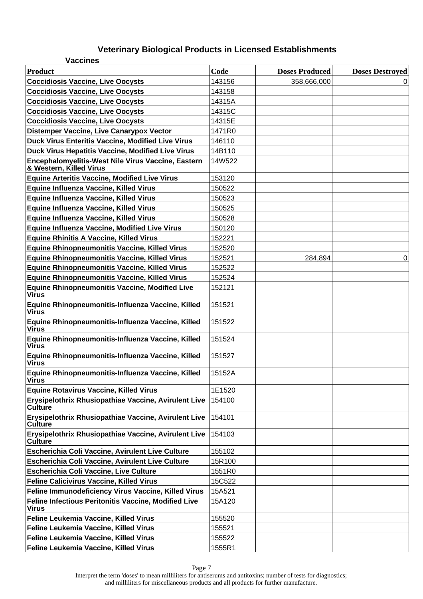| <b>Vaccines</b>                                                               |        |                       |                        |
|-------------------------------------------------------------------------------|--------|-----------------------|------------------------|
| Product                                                                       | Code   | <b>Doses Produced</b> | <b>Doses Destroyed</b> |
| <b>Coccidiosis Vaccine, Live Oocysts</b>                                      | 143156 | 358,666,000           | 0                      |
| <b>Coccidiosis Vaccine, Live Oocysts</b>                                      | 143158 |                       |                        |
| <b>Coccidiosis Vaccine, Live Oocysts</b>                                      | 14315A |                       |                        |
| <b>Coccidiosis Vaccine, Live Oocysts</b>                                      | 14315C |                       |                        |
| <b>Coccidiosis Vaccine, Live Oocysts</b>                                      | 14315E |                       |                        |
| <b>Distemper Vaccine, Live Canarypox Vector</b>                               | 1471R0 |                       |                        |
| Duck Virus Enteritis Vaccine, Modified Live Virus                             | 146110 |                       |                        |
| Duck Virus Hepatitis Vaccine, Modified Live Virus                             | 14B110 |                       |                        |
| Encephalomyelitis-West Nile Virus Vaccine, Eastern<br>& Western, Killed Virus | 14W522 |                       |                        |
| <b>Equine Arteritis Vaccine, Modified Live Virus</b>                          | 153120 |                       |                        |
| Equine Influenza Vaccine, Killed Virus                                        | 150522 |                       |                        |
| Equine Influenza Vaccine, Killed Virus                                        | 150523 |                       |                        |
| Equine Influenza Vaccine, Killed Virus                                        | 150525 |                       |                        |
| Equine Influenza Vaccine, Killed Virus                                        | 150528 |                       |                        |
| Equine Influenza Vaccine, Modified Live Virus                                 | 150120 |                       |                        |
| <b>Equine Rhinitis A Vaccine, Killed Virus</b>                                | 152221 |                       |                        |
| <b>Equine Rhinopneumonitis Vaccine, Killed Virus</b>                          | 152520 |                       |                        |
| <b>Equine Rhinopneumonitis Vaccine, Killed Virus</b>                          | 152521 | 284,894               | $\pmb{0}$              |
| Equine Rhinopneumonitis Vaccine, Killed Virus                                 | 152522 |                       |                        |
| Equine Rhinopneumonitis Vaccine, Killed Virus                                 | 152524 |                       |                        |
| Equine Rhinopneumonitis Vaccine, Modified Live<br><b>Virus</b>                | 152121 |                       |                        |
| Equine Rhinopneumonitis-Influenza Vaccine, Killed<br><b>Virus</b>             | 151521 |                       |                        |
| Equine Rhinopneumonitis-Influenza Vaccine, Killed<br><b>Virus</b>             | 151522 |                       |                        |
| Equine Rhinopneumonitis-Influenza Vaccine, Killed<br><b>Virus</b>             | 151524 |                       |                        |
| Equine Rhinopneumonitis-Influenza Vaccine, Killed<br><b>Virus</b>             | 151527 |                       |                        |
| Equine Rhinopneumonitis-Influenza Vaccine, Killed<br><b>Virus</b>             | 15152A |                       |                        |
| <b>Equine Rotavirus Vaccine, Killed Virus</b>                                 | 1E1520 |                       |                        |
| Erysipelothrix Rhusiopathiae Vaccine, Avirulent Live<br>∣Culture              | 154100 |                       |                        |
| Erysipelothrix Rhusiopathiae Vaccine, Avirulent Live<br>∣Culture              | 154101 |                       |                        |
| Erysipelothrix Rhusiopathiae Vaccine, Avirulent Live<br><b>Culture</b>        | 154103 |                       |                        |
| <b>Escherichia Coli Vaccine, Avirulent Live Culture</b>                       | 155102 |                       |                        |
| <b>Escherichia Coli Vaccine, Avirulent Live Culture</b>                       | 15R100 |                       |                        |
| <b>Escherichia Coli Vaccine, Live Culture</b>                                 | 1551R0 |                       |                        |
| <b>Feline Calicivirus Vaccine, Killed Virus</b>                               | 15C522 |                       |                        |
| Feline Immunodeficiency Virus Vaccine, Killed Virus                           | 15A521 |                       |                        |
| Feline Infectious Peritonitis Vaccine, Modified Live<br><b>Virus</b>          | 15A120 |                       |                        |
| Feline Leukemia Vaccine, Killed Virus                                         | 155520 |                       |                        |
| Feline Leukemia Vaccine, Killed Virus                                         | 155521 |                       |                        |
| Feline Leukemia Vaccine, Killed Virus                                         | 155522 |                       |                        |
| Feline Leukemia Vaccine, Killed Virus                                         | 1555R1 |                       |                        |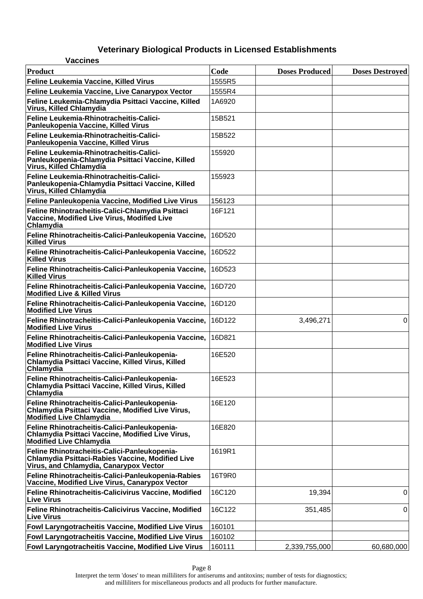| <b>Vaccines</b>                                                                                                                            |        |                       |                        |
|--------------------------------------------------------------------------------------------------------------------------------------------|--------|-----------------------|------------------------|
| <b>Product</b>                                                                                                                             | Code   | <b>Doses Produced</b> | <b>Doses Destroyed</b> |
| Feline Leukemia Vaccine, Killed Virus                                                                                                      | 1555R5 |                       |                        |
| Feline Leukemia Vaccine, Live Canarypox Vector                                                                                             | 1555R4 |                       |                        |
| Feline Leukemia-Chlamydia Psittaci Vaccine, Killed<br>Virus, Killed Chlamydia                                                              | 1A6920 |                       |                        |
| Feline Leukemia-Rhinotracheitis-Calici-<br>Panleukopenia Vaccine, Killed Virus                                                             | 15B521 |                       |                        |
| Feline Leukemia-Rhinotracheitis-Calici-<br>Panleukopenia Vaccine, Killed Virus                                                             | 15B522 |                       |                        |
| Feline Leukemia-Rhinotracheitis-Calici-<br>Panleukopenia-Chlamydia Psittaci Vaccine, Killed<br>Virus, Killed Chlamydia                     | 155920 |                       |                        |
| Feline Leukemia-Rhinotracheitis-Calici-<br>Panleukopenia-Chlamydia Psittaci Vaccine, Killed<br>Virus, Killed Chlamydia                     | 155923 |                       |                        |
| Feline Panleukopenia Vaccine, Modified Live Virus                                                                                          | 156123 |                       |                        |
| Feline Rhinotracheitis-Calici-Chlamydia Psittaci<br>Vaccine, Modified Live Virus, Modified Live<br>Chlamydia                               | 16F121 |                       |                        |
| Feline Rhinotracheitis-Calici-Panleukopenia Vaccine,<br><b>Killed Virus</b>                                                                | 16D520 |                       |                        |
| Feline Rhinotracheitis-Calici-Panleukopenia Vaccine,<br><b>Killed Virus</b>                                                                | 16D522 |                       |                        |
| Feline Rhinotracheitis-Calici-Panleukopenia Vaccine,<br><b>Killed Virus</b>                                                                | 16D523 |                       |                        |
| Feline Rhinotracheitis-Calici-Panleukopenia Vaccine,<br><b>Modified Live &amp; Killed Virus</b>                                            | 16D720 |                       |                        |
| Feline Rhinotracheitis-Calici-Panleukopenia Vaccine,<br><b>Modified Live Virus</b>                                                         | 16D120 |                       |                        |
| Feline Rhinotracheitis-Calici-Panleukopenia Vaccine,<br><b>Modified Live Virus</b>                                                         | 16D122 | 3,496,271             | 0                      |
| Feline Rhinotracheitis-Calici-Panleukopenia Vaccine,<br><b>Modified Live Virus</b>                                                         | 16D821 |                       |                        |
| Feline Rhinotracheitis-Calici-Panleukopenia-<br>Chlamydia Psittaci Vaccine, Killed Virus, Killed<br>Chlamydia                              | 16E520 |                       |                        |
| Feline Rhinotracheitis-Calici-Panleukopenia-<br>Chlamydia Psittaci Vaccine, Killed Virus, Killed<br>Chlamydia                              | 16E523 |                       |                        |
| Feline Rhinotracheitis-Calici-Panleukopenia-<br>Chlamydia Psittaci Vaccine, Modified Live Virus,<br><b>Modified Live Chlamydia</b>         | 16E120 |                       |                        |
| Feline Rhinotracheitis-Calici-Panleukopenia-<br>Chlamydia Psittaci Vaccine, Modified Live Virus,<br><b>Modified Live Chlamydia</b>         | 16E820 |                       |                        |
| Feline Rhinotracheitis-Calici-Panleukopenia-<br>Chlamydia Psittaci-Rabies Vaccine, Modified Live<br>Virus, and Chlamydia, Canarypox Vector | 1619R1 |                       |                        |
| Feline Rhinotracheitis-Calici-Panleukopenia-Rabies<br>Vaccine, Modified Live Virus, Canarypox Vector                                       | 16T9R0 |                       |                        |
| Feline Rhinotracheitis-Calicivirus Vaccine, Modified<br><b>Live Virus</b>                                                                  | 16C120 | 19,394                | 0                      |
| Feline Rhinotracheitis-Calicivirus Vaccine, Modified<br><b>Live Virus</b>                                                                  | 16C122 | 351,485               | 0                      |
| Fowl Laryngotracheitis Vaccine, Modified Live Virus                                                                                        | 160101 |                       |                        |
| <b>Fowl Laryngotracheitis Vaccine, Modified Live Virus</b>                                                                                 | 160102 |                       |                        |
| Fowl Laryngotracheitis Vaccine, Modified Live Virus                                                                                        | 160111 | 2,339,755,000         | 60,680,000             |

Interpret the term 'doses' to mean milliliters for antiserums and antitoxins; number of tests for diagnostics; and milliliters for miscellaneous products and all products for further manufacture.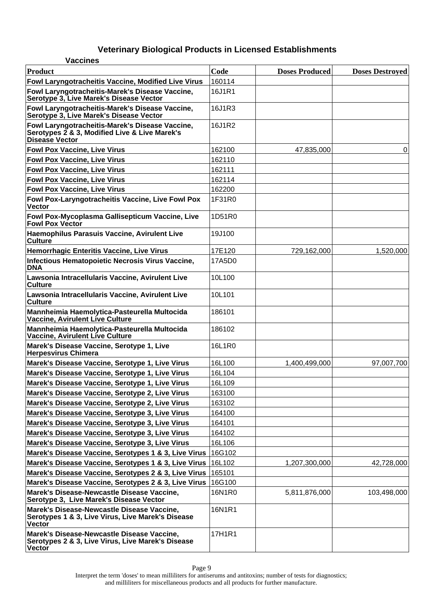| <b>Vaccines</b>                                                                                                    |        |                       |                        |
|--------------------------------------------------------------------------------------------------------------------|--------|-----------------------|------------------------|
| <b>Product</b>                                                                                                     | Code   | <b>Doses Produced</b> | <b>Doses Destroyed</b> |
| Fowl Laryngotracheitis Vaccine, Modified Live Virus                                                                | 160114 |                       |                        |
| Fowl Laryngotracheitis-Marek's Disease Vaccine,<br>Serotype 3, Live Marek's Disease Vector                         | 16J1R1 |                       |                        |
| Fowl Laryngotracheitis-Marek's Disease Vaccine,<br>Serotype 3, Live Marek's Disease Vector                         | 16J1R3 |                       |                        |
| Fowl Laryngotracheitis-Marek's Disease Vaccine,<br>Serotypes 2 & 3, Modified Live & Live Marek's<br>Disease Vector | 16J1R2 |                       |                        |
| <b>Fowl Pox Vaccine, Live Virus</b>                                                                                | 162100 | 47,835,000            | 0                      |
| <b>Fowl Pox Vaccine, Live Virus</b>                                                                                | 162110 |                       |                        |
| <b>Fowl Pox Vaccine, Live Virus</b>                                                                                | 162111 |                       |                        |
| <b>Fowl Pox Vaccine, Live Virus</b>                                                                                | 162114 |                       |                        |
| <b>Fowl Pox Vaccine, Live Virus</b>                                                                                | 162200 |                       |                        |
| Fowl Pox-Laryngotracheitis Vaccine, Live Fowl Pox<br><b>Vector</b>                                                 | 1F31R0 |                       |                        |
| Fowl Pox-Mycoplasma Gallisepticum Vaccine, Live<br><b>Fowl Pox Vector</b>                                          | 1D51R0 |                       |                        |
| Haemophilus Parasuis Vaccine, Avirulent Live<br><b>Culture</b>                                                     | 19J100 |                       |                        |
| <b>Hemorrhagic Enteritis Vaccine, Live Virus</b>                                                                   | 17E120 | 729,162,000           | 1,520,000              |
| Infectious Hematopoietic Necrosis Virus Vaccine,<br><b>DNA</b>                                                     | 17A5D0 |                       |                        |
| Lawsonia Intracellularis Vaccine, Avirulent Live<br><b>Culture</b>                                                 | 10L100 |                       |                        |
| Lawsonia Intracellularis Vaccine, Avirulent Live<br><b>Culture</b>                                                 | 10L101 |                       |                        |
| Mannheimia Haemolytica-Pasteurella Multocida<br>Vaccine, Avirulent Live Culture                                    | 186101 |                       |                        |
| Mannheimia Haemolytica-Pasteurella Multocida<br>Vaccine, Avirulent Live Culture                                    | 186102 |                       |                        |
| Marek's Disease Vaccine, Serotype 1, Live<br><b>Herpesvirus Chimera</b>                                            | 16L1R0 |                       |                        |
| Marek's Disease Vaccine, Serotype 1, Live Virus                                                                    | 16L100 | 1,400,499,000         | 97,007,700             |
| Marek's Disease Vaccine, Serotype 1, Live Virus                                                                    | 16L104 |                       |                        |
| Marek's Disease Vaccine, Serotype 1, Live Virus                                                                    | 16L109 |                       |                        |
| Marek's Disease Vaccine, Serotype 2, Live Virus                                                                    | 163100 |                       |                        |
| Marek's Disease Vaccine, Serotype 2, Live Virus                                                                    | 163102 |                       |                        |
| Marek's Disease Vaccine, Serotype 3, Live Virus                                                                    | 164100 |                       |                        |
| Marek's Disease Vaccine, Serotype 3, Live Virus                                                                    | 164101 |                       |                        |
| Marek's Disease Vaccine, Serotype 3, Live Virus                                                                    | 164102 |                       |                        |
| Marek's Disease Vaccine, Serotype 3, Live Virus                                                                    | 16L106 |                       |                        |
| Marek's Disease Vaccine, Serotypes 1 & 3, Live Virus                                                               | 16G102 |                       |                        |
| Marek's Disease Vaccine, Serotypes 1 & 3, Live Virus                                                               | 16L102 | 1,207,300,000         | 42,728,000             |
| Marek's Disease Vaccine, Serotypes 2 & 3, Live Virus                                                               | 165101 |                       |                        |
| Marek's Disease Vaccine, Serotypes 2 & 3, Live Virus                                                               | 16G100 |                       |                        |
| Marek's Disease-Newcastle Disease Vaccine,<br>Serotype 3, Live Marek's Disease Vector                              | 16N1R0 | 5,811,876,000         | 103,498,000            |
| Marek's Disease-Newcastle Disease Vaccine,<br>Serotypes 1 & 3, Live Virus, Live Marek's Disease<br>Vector          | 16N1R1 |                       |                        |
| Marek's Disease-Newcastle Disease Vaccine,<br>Serotypes 2 & 3, Live Virus, Live Marek's Disease<br>Vector          | 17H1R1 |                       |                        |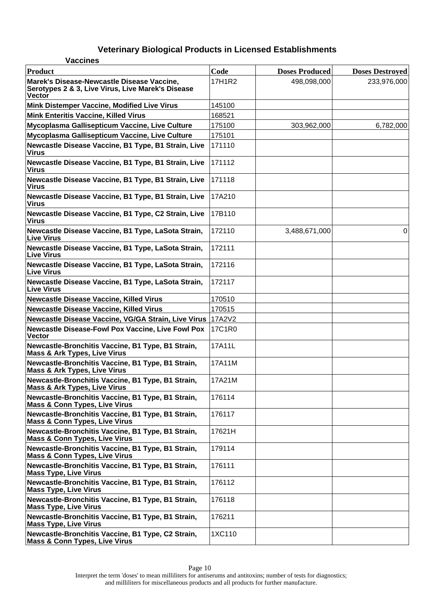| <b>Vaccines</b>                                                                                                  |        |                       |                        |
|------------------------------------------------------------------------------------------------------------------|--------|-----------------------|------------------------|
| Product                                                                                                          | Code   | <b>Doses Produced</b> | <b>Doses Destroyed</b> |
| Marek's Disease-Newcastle Disease Vaccine,<br>Serotypes 2 & 3, Live Virus, Live Marek's Disease<br><b>Vector</b> | 17H1R2 | 498,098,000           | 233,976,000            |
| Mink Distemper Vaccine, Modified Live Virus                                                                      | 145100 |                       |                        |
| <b>Mink Enteritis Vaccine, Killed Virus</b>                                                                      | 168521 |                       |                        |
| Mycoplasma Gallisepticum Vaccine, Live Culture                                                                   | 175100 | 303,962,000           | 6,782,000              |
| Mycoplasma Gallisepticum Vaccine, Live Culture                                                                   | 175101 |                       |                        |
| Newcastle Disease Vaccine, B1 Type, B1 Strain, Live<br><b>Virus</b>                                              | 171110 |                       |                        |
| Newcastle Disease Vaccine, B1 Type, B1 Strain, Live<br><b>Virus</b>                                              | 171112 |                       |                        |
| Newcastle Disease Vaccine, B1 Type, B1 Strain, Live<br><b>Virus</b>                                              | 171118 |                       |                        |
| Newcastle Disease Vaccine, B1 Type, B1 Strain, Live<br><b>Virus</b>                                              | 17A210 |                       |                        |
| Newcastle Disease Vaccine, B1 Type, C2 Strain, Live<br><b>Virus</b>                                              | 17B110 |                       |                        |
| Newcastle Disease Vaccine, B1 Type, LaSota Strain,<br><b>Live Virus</b>                                          | 172110 | 3,488,671,000         | 0                      |
| Newcastle Disease Vaccine, B1 Type, LaSota Strain,<br><b>Live Virus</b>                                          | 172111 |                       |                        |
| Newcastle Disease Vaccine, B1 Type, LaSota Strain,<br>∣Live Virus                                                | 172116 |                       |                        |
| Newcastle Disease Vaccine, B1 Type, LaSota Strain,<br><b>Live Virus</b>                                          | 172117 |                       |                        |
| <b>Newcastle Disease Vaccine, Killed Virus</b>                                                                   | 170510 |                       |                        |
| <b>Newcastle Disease Vaccine, Killed Virus</b>                                                                   | 170515 |                       |                        |
| Newcastle Disease Vaccine, VG/GA Strain, Live Virus   17A2V2                                                     |        |                       |                        |
| <b>Newcastle Disease-Fowl Pox Vaccine, Live Fowl Pox</b><br><b>Vector</b>                                        | 17C1R0 |                       |                        |
| Newcastle-Bronchitis Vaccine, B1 Type, B1 Strain,<br><b>Mass &amp; Ark Types, Live Virus</b>                     | 17A11L |                       |                        |
| Newcastle-Bronchitis Vaccine, B1 Type, B1 Strain,<br><b>Mass &amp; Ark Types, Live Virus</b>                     | 17A11M |                       |                        |
| Newcastle-Bronchitis Vaccine, B1 Type, B1 Strain,<br><b>Mass &amp; Ark Types, Live Virus</b>                     | 17A21M |                       |                        |
| Newcastle-Bronchitis Vaccine, B1 Type, B1 Strain,<br><b>Mass &amp; Conn Types, Live Virus</b>                    | 176114 |                       |                        |
| Newcastle-Bronchitis Vaccine, B1 Type, B1 Strain,<br><b>Mass &amp; Conn Types, Live Virus</b>                    | 176117 |                       |                        |
| Newcastle-Bronchitis Vaccine, B1 Type, B1 Strain,<br><b>Mass &amp; Conn Types, Live Virus</b>                    | 17621H |                       |                        |
| Newcastle-Bronchitis Vaccine, B1 Type, B1 Strain,<br><b>Mass &amp; Conn Types, Live Virus</b>                    | 179114 |                       |                        |
| Newcastle-Bronchitis Vaccine, B1 Type, B1 Strain,<br><b>Mass Type, Live Virus</b>                                | 176111 |                       |                        |
| Newcastle-Bronchitis Vaccine, B1 Type, B1 Strain,<br><b>Mass Type, Live Virus</b>                                | 176112 |                       |                        |
| Newcastle-Bronchitis Vaccine, B1 Type, B1 Strain,<br><b>Mass Type, Live Virus</b>                                | 176118 |                       |                        |
| Newcastle-Bronchitis Vaccine, B1 Type, B1 Strain,<br><b>Mass Type, Live Virus</b>                                | 176211 |                       |                        |
| Newcastle-Bronchitis Vaccine, B1 Type, C2 Strain,<br><b>Mass &amp; Conn Types, Live Virus</b>                    | 1XC110 |                       |                        |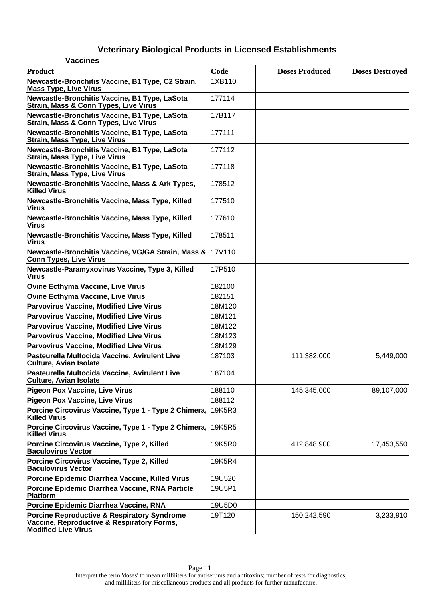| <b>Vaccines</b>                                                                                                                    |        |                       |                        |
|------------------------------------------------------------------------------------------------------------------------------------|--------|-----------------------|------------------------|
| <b>Product</b>                                                                                                                     | Code   | <b>Doses Produced</b> | <b>Doses Destroyed</b> |
| Newcastle-Bronchitis Vaccine, B1 Type, C2 Strain,<br><b>Mass Type, Live Virus</b>                                                  | 1XB110 |                       |                        |
| Newcastle-Bronchitis Vaccine, B1 Type, LaSota<br>Strain, Mass & Conn Types, Live Virus                                             | 177114 |                       |                        |
| Newcastle-Bronchitis Vaccine, B1 Type, LaSota<br>Strain, Mass & Conn Types, Live Virus                                             | 17B117 |                       |                        |
| Newcastle-Bronchitis Vaccine, B1 Type, LaSota<br><b>Strain, Mass Type, Live Virus</b>                                              | 177111 |                       |                        |
| Newcastle-Bronchitis Vaccine, B1 Type, LaSota<br><b>Strain, Mass Type, Live Virus</b>                                              | 177112 |                       |                        |
| Newcastle-Bronchitis Vaccine, B1 Type, LaSota<br><b>Strain, Mass Type, Live Virus</b>                                              | 177118 |                       |                        |
| Newcastle-Bronchitis Vaccine, Mass & Ark Types,<br><b>Killed Virus</b>                                                             | 178512 |                       |                        |
| Newcastle-Bronchitis Vaccine, Mass Type, Killed<br><b>Virus</b>                                                                    | 177510 |                       |                        |
| Newcastle-Bronchitis Vaccine, Mass Type, Killed<br><b>Virus</b>                                                                    | 177610 |                       |                        |
| Newcastle-Bronchitis Vaccine, Mass Type, Killed<br><b>Virus</b>                                                                    | 178511 |                       |                        |
| Newcastle-Bronchitis Vaccine, VG/GA Strain, Mass &<br><b>Conn Types, Live Virus</b>                                                | 17V110 |                       |                        |
| Newcastle-Paramyxovirus Vaccine, Type 3, Killed<br><b>Virus</b>                                                                    | 17P510 |                       |                        |
| <b>Ovine Ecthyma Vaccine, Live Virus</b>                                                                                           | 182100 |                       |                        |
| <b>Ovine Ecthyma Vaccine, Live Virus</b>                                                                                           | 182151 |                       |                        |
| <b>Parvovirus Vaccine, Modified Live Virus</b>                                                                                     | 18M120 |                       |                        |
| <b>Parvovirus Vaccine, Modified Live Virus</b>                                                                                     | 18M121 |                       |                        |
| <b>Parvovirus Vaccine, Modified Live Virus</b>                                                                                     | 18M122 |                       |                        |
| <b>Parvovirus Vaccine, Modified Live Virus</b>                                                                                     | 18M123 |                       |                        |
| <b>Parvovirus Vaccine, Modified Live Virus</b>                                                                                     | 18M129 |                       |                        |
| Pasteurella Multocida Vaccine, Avirulent Live<br><b>Culture, Avian Isolate</b>                                                     | 187103 | 111,382,000           | 5,449,000              |
| Pasteurella Multocida Vaccine, Avirulent Live<br><b>Culture, Avian Isolate</b>                                                     | 187104 |                       |                        |
| Pigeon Pox Vaccine, Live Virus                                                                                                     | 188110 | 145,345,000           | 89,107,000             |
| <b>Pigeon Pox Vaccine, Live Virus</b>                                                                                              | 188112 |                       |                        |
| Porcine Circovirus Vaccine, Type 1 - Type 2 Chimera,<br><b>Killed Virus</b>                                                        | 19K5R3 |                       |                        |
| Porcine Circovirus Vaccine, Type 1 - Type 2 Chimera,<br><b>Killed Virus</b>                                                        | 19K5R5 |                       |                        |
| Porcine Circovirus Vaccine, Type 2, Killed<br><b>Baculovirus Vector</b>                                                            | 19K5R0 | 412,848,900           | 17,453,550             |
| Porcine Circovirus Vaccine, Type 2, Killed<br><b>Baculovirus Vector</b>                                                            | 19K5R4 |                       |                        |
| Porcine Epidemic Diarrhea Vaccine, Killed Virus                                                                                    | 19U520 |                       |                        |
| Porcine Epidemic Diarrhea Vaccine, RNA Particle<br><b>Platform</b>                                                                 | 19U5P1 |                       |                        |
| Porcine Epidemic Diarrhea Vaccine, RNA                                                                                             | 19U5D0 |                       |                        |
| <b>Porcine Reproductive &amp; Respiratory Syndrome</b><br>Vaccine, Reproductive & Respiratory Forms,<br><b>Modified Live Virus</b> | 19T120 | 150,242,590           | 3,233,910              |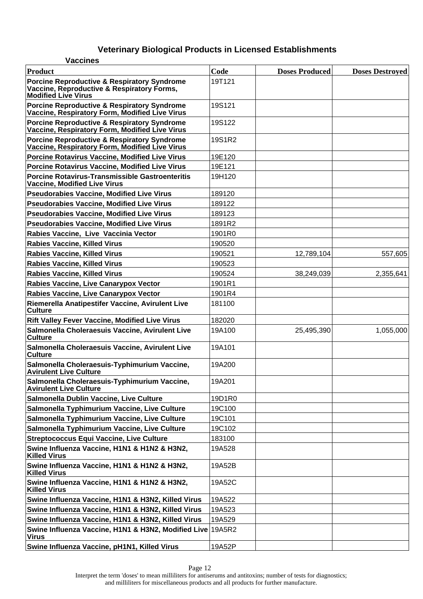| <b>Vaccines</b>                                                                                                                    |        |                       |                        |
|------------------------------------------------------------------------------------------------------------------------------------|--------|-----------------------|------------------------|
| Product                                                                                                                            | Code   | <b>Doses Produced</b> | <b>Doses Destroyed</b> |
| <b>Porcine Reproductive &amp; Respiratory Syndrome</b><br>Vaccine, Reproductive & Respiratory Forms,<br><b>Modified Live Virus</b> | 19T121 |                       |                        |
| <b>Porcine Reproductive &amp; Respiratory Syndrome</b><br>Vaccine, Respiratory Form, Modified Live Virus                           | 19S121 |                       |                        |
| <b>Porcine Reproductive &amp; Respiratory Syndrome</b><br>Vaccine, Respiratory Form, Modified Live Virus                           | 19S122 |                       |                        |
| <b>Porcine Reproductive &amp; Respiratory Syndrome</b><br>Vaccine, Respiratory Form, Modified Live Virus                           | 19S1R2 |                       |                        |
| <b>Porcine Rotavirus Vaccine, Modified Live Virus</b>                                                                              | 19E120 |                       |                        |
| <b>Porcine Rotavirus Vaccine, Modified Live Virus</b>                                                                              | 19E121 |                       |                        |
| <b>Porcine Rotavirus-Transmissible Gastroenteritis</b><br><b>Vaccine, Modified Live Virus</b>                                      | 19H120 |                       |                        |
| <b>Pseudorabies Vaccine, Modified Live Virus</b>                                                                                   | 189120 |                       |                        |
| <b>Pseudorabies Vaccine, Modified Live Virus</b>                                                                                   | 189122 |                       |                        |
| <b>Pseudorabies Vaccine, Modified Live Virus</b>                                                                                   | 189123 |                       |                        |
| <b>Pseudorabies Vaccine, Modified Live Virus</b>                                                                                   | 1891R2 |                       |                        |
| Rabies Vaccine, Live Vaccinia Vector                                                                                               | 1901R0 |                       |                        |
| <b>Rabies Vaccine, Killed Virus</b>                                                                                                | 190520 |                       |                        |
| <b>Rabies Vaccine, Killed Virus</b>                                                                                                | 190521 | 12,789,104            | 557,605                |
| <b>Rabies Vaccine, Killed Virus</b>                                                                                                | 190523 |                       |                        |
| <b>Rabies Vaccine, Killed Virus</b>                                                                                                | 190524 | 38,249,039            | 2,355,641              |
| Rabies Vaccine, Live Canarypox Vector                                                                                              | 1901R1 |                       |                        |
| Rabies Vaccine, Live Canarypox Vector                                                                                              | 1901R4 |                       |                        |
| Riemerella Anatipestifer Vaccine, Avirulent Live<br><b>Culture</b>                                                                 | 181100 |                       |                        |
| <b>Rift Valley Fever Vaccine, Modified Live Virus</b>                                                                              | 182020 |                       |                        |
| Salmonella Choleraesuis Vaccine, Avirulent Live<br><b>Culture</b>                                                                  | 19A100 | 25,495,390            | 1,055,000              |
| Salmonella Choleraesuis Vaccine, Avirulent Live<br><b>Culture</b>                                                                  | 19A101 |                       |                        |
| Salmonella Choleraesuis-Typhimurium Vaccine,<br><b>Avirulent Live Culture</b>                                                      | 19A200 |                       |                        |
| Salmonella Choleraesuis-Typhimurium Vaccine,<br><b>Avirulent Live Culture</b>                                                      | 19A201 |                       |                        |
| Salmonella Dublin Vaccine, Live Culture                                                                                            | 19D1R0 |                       |                        |
| Salmonella Typhimurium Vaccine, Live Culture                                                                                       | 19C100 |                       |                        |
| Salmonella Typhimurium Vaccine, Live Culture                                                                                       | 19C101 |                       |                        |
| Salmonella Typhimurium Vaccine, Live Culture                                                                                       | 19C102 |                       |                        |
| <b>Streptococcus Equi Vaccine, Live Culture</b>                                                                                    | 183100 |                       |                        |
| Swine Influenza Vaccine, H1N1 & H1N2 & H3N2,<br><b>Killed Virus</b>                                                                | 19A528 |                       |                        |
| Swine Influenza Vaccine, H1N1 & H1N2 & H3N2,<br><b>Killed Virus</b>                                                                | 19A52B |                       |                        |
| Swine Influenza Vaccine, H1N1 & H1N2 & H3N2,<br><b>Killed Virus</b>                                                                | 19A52C |                       |                        |
| Swine Influenza Vaccine, H1N1 & H3N2, Killed Virus                                                                                 | 19A522 |                       |                        |
| Swine Influenza Vaccine, H1N1 & H3N2, Killed Virus                                                                                 | 19A523 |                       |                        |
| Swine Influenza Vaccine, H1N1 & H3N2, Killed Virus                                                                                 | 19A529 |                       |                        |
| Swine Influenza Vaccine, H1N1 & H3N2, Modified Live 19A5R2<br><b>Virus</b>                                                         |        |                       |                        |
| Swine Influenza Vaccine, pH1N1, Killed Virus                                                                                       | 19A52P |                       |                        |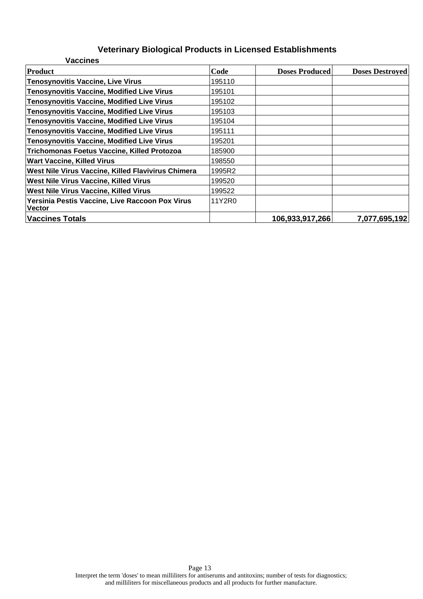| <b>Vaccines</b>                                                  |        |                       |                        |
|------------------------------------------------------------------|--------|-----------------------|------------------------|
| Product                                                          | Code   | <b>Doses Produced</b> | <b>Doses Destroyed</b> |
| Tenosynovitis Vaccine, Live Virus                                | 195110 |                       |                        |
| <b>Tenosynovitis Vaccine, Modified Live Virus</b>                | 195101 |                       |                        |
| <b>Tenosynovitis Vaccine, Modified Live Virus</b>                | 195102 |                       |                        |
| <b>Tenosynovitis Vaccine, Modified Live Virus</b>                | 195103 |                       |                        |
| <b>Tenosynovitis Vaccine, Modified Live Virus</b>                | 195104 |                       |                        |
| <b>Tenosynovitis Vaccine, Modified Live Virus</b>                | 195111 |                       |                        |
| <b>Tenosynovitis Vaccine, Modified Live Virus</b>                | 195201 |                       |                        |
| <b>Trichomonas Foetus Vaccine, Killed Protozoa</b>               | 185900 |                       |                        |
| <b>Wart Vaccine, Killed Virus</b>                                | 198550 |                       |                        |
| <b>West Nile Virus Vaccine, Killed Flavivirus Chimera</b>        | 1995R2 |                       |                        |
| <b>West Nile Virus Vaccine, Killed Virus</b>                     | 199520 |                       |                        |
| <b>West Nile Virus Vaccine, Killed Virus</b>                     | 199522 |                       |                        |
| Yersinia Pestis Vaccine, Live Raccoon Pox Virus<br><b>Vector</b> | 11Y2R0 |                       |                        |
| <b>Vaccines Totals</b>                                           |        | 106,933,917,266       | 7,077,695,192          |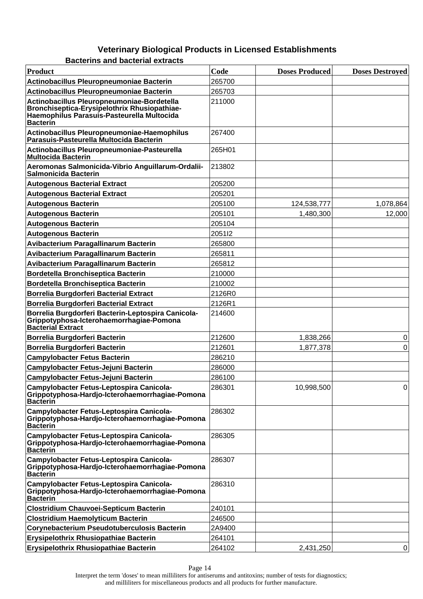**Bacterins and bacterial extracts**

| <b>Product</b>                                                                                                                                              | Code   | <b>Doses Produced</b> | <b>Doses Destroyed</b> |
|-------------------------------------------------------------------------------------------------------------------------------------------------------------|--------|-----------------------|------------------------|
| Actinobacillus Pleuropneumoniae Bacterin                                                                                                                    | 265700 |                       |                        |
| Actinobacillus Pleuropneumoniae Bacterin                                                                                                                    | 265703 |                       |                        |
| Actinobacillus Pleuropneumoniae-Bordetella<br>Bronchiseptica-Erysipelothrix Rhusiopathiae-<br>Haemophilus Parasuis-Pasteurella Multocida<br><b>Bacterin</b> | 211000 |                       |                        |
| Actinobacillus Pleuropneumoniae-Haemophilus<br>Parasuis-Pasteurella Multocida Bacterin                                                                      | 267400 |                       |                        |
| Actinobacillus Pleuropneumoniae-Pasteurella<br><b>Multocida Bacterin</b>                                                                                    | 265H01 |                       |                        |
| Aeromonas Salmonicida-Vibrio Anguillarum-Ordalii-<br>Salmonicida Bacterin                                                                                   | 213802 |                       |                        |
| <b>Autogenous Bacterial Extract</b>                                                                                                                         | 205200 |                       |                        |
| <b>Autogenous Bacterial Extract</b>                                                                                                                         | 205201 |                       |                        |
| <b>Autogenous Bacterin</b>                                                                                                                                  | 205100 | 124,538,777           | 1,078,864              |
| <b>Autogenous Bacterin</b>                                                                                                                                  | 205101 | 1,480,300             | 12,000                 |
| <b>Autogenous Bacterin</b>                                                                                                                                  | 205104 |                       |                        |
| <b>Autogenous Bacterin</b>                                                                                                                                  | 205112 |                       |                        |
| Avibacterium Paragallinarum Bacterin                                                                                                                        | 265800 |                       |                        |
| Avibacterium Paragallinarum Bacterin                                                                                                                        | 265811 |                       |                        |
| Avibacterium Paragallinarum Bacterin                                                                                                                        | 265812 |                       |                        |
| <b>Bordetella Bronchiseptica Bacterin</b>                                                                                                                   | 210000 |                       |                        |
| <b>Bordetella Bronchiseptica Bacterin</b>                                                                                                                   | 210002 |                       |                        |
| <b>Borrelia Burgdorferi Bacterial Extract</b>                                                                                                               | 2126R0 |                       |                        |
| <b>Borrelia Burgdorferi Bacterial Extract</b>                                                                                                               | 2126R1 |                       |                        |
| Borrelia Burgdorferi Bacterin-Leptospira Canicola-<br>Grippotyphosa-Icterohaemorrhagiae-Pomona<br><b>Bacterial Extract</b>                                  | 214600 |                       |                        |
| Borrelia Burgdorferi Bacterin                                                                                                                               | 212600 | 1,838,266             | 0                      |
| Borrelia Burgdorferi Bacterin                                                                                                                               | 212601 | 1,877,378             | $\Omega$               |
| <b>Campylobacter Fetus Bacterin</b>                                                                                                                         | 286210 |                       |                        |
| Campylobacter Fetus-Jejuni Bacterin                                                                                                                         | 286000 |                       |                        |
| Campylobacter Fetus-Jejuni Bacterin                                                                                                                         | 286100 |                       |                        |
| Campylobacter Fetus-Leptospira Canicola-<br>Grippotyphosa-Hardjo-Icterohaemorrhagiae-Pomona<br><b>Bacterin</b>                                              | 286301 | 10,998,500            | 0                      |
| Campylobacter Fetus-Leptospira Canicola-<br>Grippotyphosa-Hardjo-Icterohaemorrhagiae-Pomona<br><b>Bacterin</b>                                              | 286302 |                       |                        |
| Campylobacter Fetus-Leptospira Canicola-<br>Grippotyphosa-Hardjo-Icterohaemorrhagiae-Pomona<br><b>Bacterin</b>                                              | 286305 |                       |                        |
| Campylobacter Fetus-Leptospira Canicola-<br>Grippotyphosa-Hardjo-Icterohaemorrhagiae-Pomona<br><b>Bacterin</b>                                              | 286307 |                       |                        |
| Campylobacter Fetus-Leptospira Canicola-<br>Grippotyphosa-Hardjo-Icterohaemorrhagiae-Pomona<br><b>Bacterin</b>                                              | 286310 |                       |                        |
| <b>Clostridium Chauvoei-Septicum Bacterin</b>                                                                                                               | 240101 |                       |                        |
| <b>Clostridium Haemolyticum Bacterin</b>                                                                                                                    | 246500 |                       |                        |
| <b>Corynebacterium Pseudotuberculosis Bacterin</b>                                                                                                          | 2A9400 |                       |                        |
| Erysipelothrix Rhusiopathiae Bacterin                                                                                                                       | 264101 |                       |                        |
| <b>Erysipelothrix Rhusiopathiae Bacterin</b>                                                                                                                | 264102 | 2,431,250             | 0                      |

Page 14 Interpret the term 'doses' to mean milliliters for antiserums and antitoxins; number of tests for diagnostics; and milliliters for miscellaneous products and all products for further manufacture.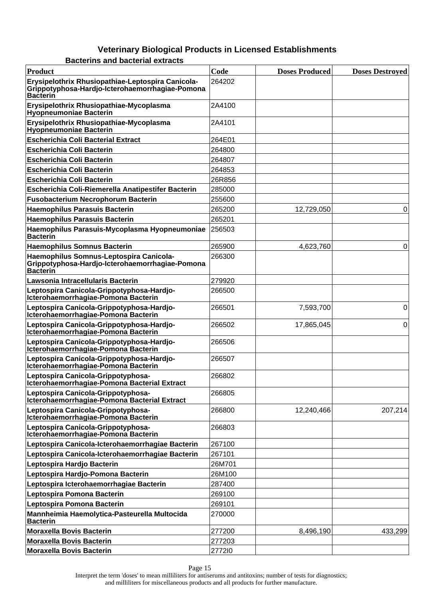| Product                                                                                                          | Code   | <b>Doses Produced</b> | <b>Doses Destroyed</b> |
|------------------------------------------------------------------------------------------------------------------|--------|-----------------------|------------------------|
| Erysipelothrix Rhusiopathiae-Leptospira Canicola-<br>Grippotyphosa-Hardjo-Icterohaemorrhagiae-Pomona<br>Bacterin | 264202 |                       |                        |
| Erysipelothrix Rhusiopathiae-Mycoplasma<br><b>Hyopneumoniae Bacterin</b>                                         | 2A4100 |                       |                        |
| Erysipelothrix Rhusiopathiae-Mycoplasma<br><b>Hyopneumoniae Bacterin</b>                                         | 2A4101 |                       |                        |
| <b>Escherichia Coli Bacterial Extract</b>                                                                        | 264E01 |                       |                        |
| <b>Escherichia Coli Bacterin</b>                                                                                 | 264800 |                       |                        |
| <b>Escherichia Coli Bacterin</b>                                                                                 | 264807 |                       |                        |
| <b>Escherichia Coli Bacterin</b>                                                                                 | 264853 |                       |                        |
| <b>Escherichia Coli Bacterin</b>                                                                                 | 26R856 |                       |                        |
| <b>Escherichia Coli-Riemerella Anatipestifer Bacterin</b>                                                        | 285000 |                       |                        |
| <b>Fusobacterium Necrophorum Bacterin</b>                                                                        | 255600 |                       |                        |
| <b>Haemophilus Parasuis Bacterin</b>                                                                             | 265200 | 12,729,050            | 0                      |
| <b>Haemophilus Parasuis Bacterin</b>                                                                             | 265201 |                       |                        |
| Haemophilus Parasuis-Mycoplasma Hyopneumoniae<br>Bacterin                                                        | 256503 |                       |                        |
| <b>Haemophilus Somnus Bacterin</b>                                                                               | 265900 | 4,623,760             | 0                      |
| Haemophilus Somnus-Leptospira Canicola-<br>Grippotyphosa-Hardjo-Icterohaemorrhagiae-Pomona<br>Bacterin           | 266300 |                       |                        |
| Lawsonia Intracellularis Bacterin                                                                                | 279920 |                       |                        |
| Leptospira Canicola-Grippotyphosa-Hardjo-<br>Icterohaemorrhagiae-Pomona Bacterin                                 | 266500 |                       |                        |
| Leptospira Canicola-Grippotyphosa-Hardjo-<br>Icterohaemorrhagiae-Pomona Bacterin                                 | 266501 | 7,593,700             | 0                      |
| Leptospira Canicola-Grippotyphosa-Hardjo-<br>Icterohaemorrhagiae-Pomona Bacterin                                 | 266502 | 17,865,045            | $\Omega$               |
| Leptospira Canicola-Grippotyphosa-Hardjo-<br>Icterohaemorrhagiae-Pomona Bacterin                                 | 266506 |                       |                        |
| Leptospira Canicola-Grippotyphosa-Hardjo-<br>Icterohaemorrhagiae-Pomona Bacterin                                 | 266507 |                       |                        |
| Leptospira Canicola-Grippotyphosa-<br>Icterohaemorrhagiae-Pomona Bacterial Extract                               | 266802 |                       |                        |
| Leptospira Canicola-Grippotyphosa-<br>Icterohaemorrhagiae-Pomona Bacterial Extract                               | 266805 |                       |                        |
| Leptospira Canicola-Grippotyphosa-<br>Icterohaemorrhagiae-Pomona Bacterin                                        | 266800 | 12,240,466            | 207,214                |
| Leptospira Canicola-Grippotyphosa-<br>Icterohaemorrhagiae-Pomona Bacterin                                        | 266803 |                       |                        |
| Leptospira Canicola-Icterohaemorrhagiae Bacterin                                                                 | 267100 |                       |                        |
| Leptospira Canicola-Icterohaemorrhagiae Bacterin                                                                 | 267101 |                       |                        |
| Leptospira Hardjo Bacterin                                                                                       | 26M701 |                       |                        |
| Leptospira Hardjo-Pomona Bacterin                                                                                | 26M100 |                       |                        |
| Leptospira Icterohaemorrhagiae Bacterin                                                                          | 287400 |                       |                        |
| Leptospira Pomona Bacterin                                                                                       | 269100 |                       |                        |
| Leptospira Pomona Bacterin                                                                                       | 269101 |                       |                        |
| Mannheimia Haemolytica-Pasteurella Multocida<br><b>Bacterin</b>                                                  | 270000 |                       |                        |
| <b>Moraxella Bovis Bacterin</b>                                                                                  | 277200 | 8,496,190             | 433,299                |
| <b>Moraxella Bovis Bacterin</b>                                                                                  | 277203 |                       |                        |
| <b>Moraxella Bovis Bacterin</b>                                                                                  | 277210 |                       |                        |

**Bacterins and bacterial extracts**

Page 15

Interpret the term 'doses' to mean milliliters for antiserums and antitoxins; number of tests for diagnostics; and milliliters for miscellaneous products and all products for further manufacture.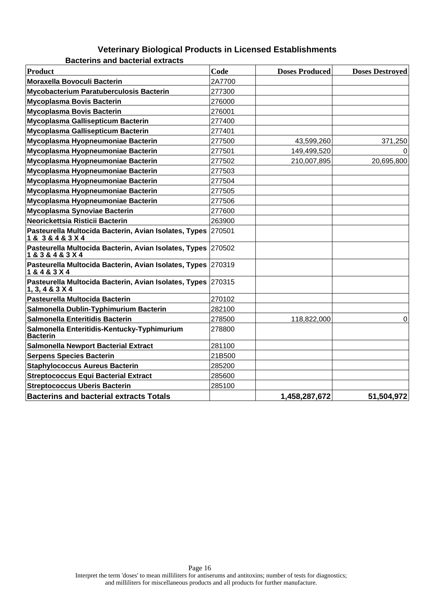**Bacterins and bacterial extracts**

| <b>Product</b>                                                                      | Code   | <b>Doses Produced</b> | <b>Doses Destroyed</b> |
|-------------------------------------------------------------------------------------|--------|-----------------------|------------------------|
| <b>Moraxella Bovoculi Bacterin</b>                                                  | 2A7700 |                       |                        |
| <b>Mycobacterium Paratuberculosis Bacterin</b>                                      | 277300 |                       |                        |
| <b>Mycoplasma Bovis Bacterin</b>                                                    | 276000 |                       |                        |
| <b>Mycoplasma Bovis Bacterin</b>                                                    | 276001 |                       |                        |
| Mycoplasma Gallisepticum Bacterin                                                   | 277400 |                       |                        |
| Mycoplasma Gallisepticum Bacterin                                                   | 277401 |                       |                        |
| Mycoplasma Hyopneumoniae Bacterin                                                   | 277500 | 43,599,260            | 371,250                |
| Mycoplasma Hyopneumoniae Bacterin                                                   | 277501 | 149,499,520           |                        |
| Mycoplasma Hyopneumoniae Bacterin                                                   | 277502 | 210,007,895           | 20,695,800             |
| Mycoplasma Hyopneumoniae Bacterin                                                   | 277503 |                       |                        |
| Mycoplasma Hyopneumoniae Bacterin                                                   | 277504 |                       |                        |
| Mycoplasma Hyopneumoniae Bacterin                                                   | 277505 |                       |                        |
| Mycoplasma Hyopneumoniae Bacterin                                                   | 277506 |                       |                        |
| Mycoplasma Synoviae Bacterin                                                        | 277600 |                       |                        |
| Neorickettsia Risticii Bacterin                                                     | 263900 |                       |                        |
| Pasteurella Multocida Bacterin, Avian Isolates, Types 270501<br>1 & 3 & 4 & 3 X 4   |        |                       |                        |
| Pasteurella Multocida Bacterin, Avian Isolates, Types 270502<br>1 & 3 & 4 & 3 X 4   |        |                       |                        |
| Pasteurella Multocida Bacterin, Avian Isolates, Types 270319<br>1 & 4 & 3 X 4       |        |                       |                        |
| Pasteurella Multocida Bacterin, Avian Isolates, Types 270315<br>1, 3, 4 & 3 & 3 & 4 |        |                       |                        |
| Pasteurella Multocida Bacterin                                                      | 270102 |                       |                        |
| Salmonella Dublin-Typhimurium Bacterin                                              | 282100 |                       |                        |
| Salmonella Enteritidis Bacterin                                                     | 278500 | 118,822,000           | $\Omega$               |
| Salmonella Enteritidis-Kentucky-Typhimurium<br><b>Bacterin</b>                      | 278800 |                       |                        |
| <b>Salmonella Newport Bacterial Extract</b>                                         | 281100 |                       |                        |
| <b>Serpens Species Bacterin</b>                                                     | 21B500 |                       |                        |
| <b>Staphylococcus Aureus Bacterin</b>                                               | 285200 |                       |                        |
| <b>Streptococcus Equi Bacterial Extract</b>                                         | 285600 |                       |                        |
| <b>Streptococcus Uberis Bacterin</b>                                                | 285100 |                       |                        |
| <b>Bacterins and bacterial extracts Totals</b>                                      |        | 1,458,287,672         | 51,504,972             |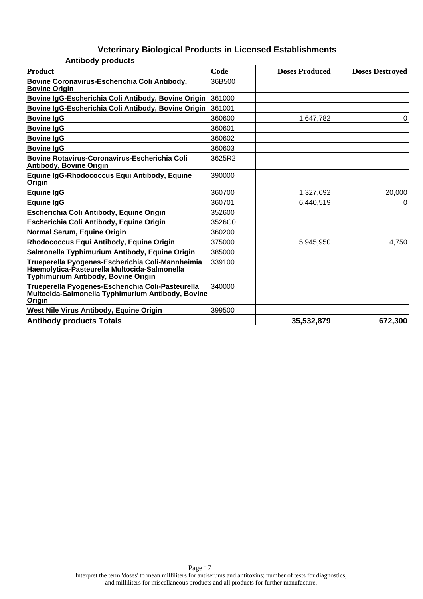#### **Veterinary Biological Products in Licensed Establishments Antibody products**

| Product                                                                                                                                        | Code   | <b>Doses Produced</b> | <b>Doses Destroved</b> |
|------------------------------------------------------------------------------------------------------------------------------------------------|--------|-----------------------|------------------------|
| Bovine Coronavirus-Escherichia Coli Antibody,<br><b>Bovine Origin</b>                                                                          | 36B500 |                       |                        |
| Bovine IgG-Escherichia Coli Antibody, Bovine Origin                                                                                            | 361000 |                       |                        |
| Bovine IgG-Escherichia Coli Antibody, Bovine Origin                                                                                            | 361001 |                       |                        |
| <b>Bovine IgG</b>                                                                                                                              | 360600 | 1,647,782             | 0                      |
| <b>Bovine IgG</b>                                                                                                                              | 360601 |                       |                        |
| <b>Bovine IgG</b>                                                                                                                              | 360602 |                       |                        |
| <b>Bovine IgG</b>                                                                                                                              | 360603 |                       |                        |
| <b>Bovine Rotavirus-Coronavirus-Escherichia Coli</b><br><b>Antibody, Bovine Origin</b>                                                         | 3625R2 |                       |                        |
| Equine IgG-Rhodococcus Equi Antibody, Equine<br>Origin                                                                                         | 390000 |                       |                        |
| <b>Equine IgG</b>                                                                                                                              | 360700 | 1,327,692             | 20,000                 |
| <b>Equine IgG</b>                                                                                                                              | 360701 | 6,440,519             | 0                      |
| Escherichia Coli Antibody, Equine Origin                                                                                                       | 352600 |                       |                        |
| Escherichia Coli Antibody, Equine Origin                                                                                                       | 3526C0 |                       |                        |
| Normal Serum, Equine Origin                                                                                                                    | 360200 |                       |                        |
| Rhodococcus Equi Antibody, Equine Origin                                                                                                       | 375000 | 5,945,950             | 4,750                  |
| Salmonella Typhimurium Antibody, Equine Origin                                                                                                 | 385000 |                       |                        |
| Trueperella Pyogenes-Escherichia Coli-Mannheimia<br>Haemolytica-Pasteurella Multocida-Salmonella<br><b>Typhimurium Antibody, Bovine Origin</b> | 339100 |                       |                        |
| Trueperella Pyogenes-Escherichia Coli-Pasteurella<br>Multocida-Salmonella Typhimurium Antibody, Bovine<br>Origin                               | 340000 |                       |                        |
| West Nile Virus Antibody, Equine Origin                                                                                                        | 399500 |                       |                        |
| <b>Antibody products Totals</b>                                                                                                                |        | 35,532,879            | 672,300                |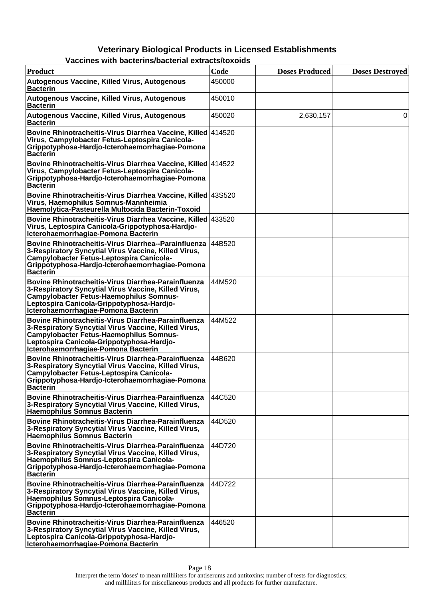| Product                                                                                                                                                                                                                                           | Code   | <b>Doses Produced</b> | <b>Doses Destroyed</b> |
|---------------------------------------------------------------------------------------------------------------------------------------------------------------------------------------------------------------------------------------------------|--------|-----------------------|------------------------|
| Autogenous Vaccine, Killed Virus, Autogenous<br>Bacterin                                                                                                                                                                                          | 450000 |                       |                        |
| Autogenous Vaccine, Killed Virus, Autogenous<br><b>Bacterin</b>                                                                                                                                                                                   | 450010 |                       |                        |
| Autogenous Vaccine, Killed Virus, Autogenous<br><b>Bacterin</b>                                                                                                                                                                                   | 450020 | 2,630,157             | 0                      |
| Bovine Rhinotracheitis-Virus Diarrhea Vaccine, Killed   414520<br>Virus, Campylobacter Fetus-Leptospira Canicola-<br>Grippotyphosa-Hardjo-Icterohaemorrhagiae-Pomona<br><b>Bacterin</b>                                                           |        |                       |                        |
| Bovine Rhinotracheitis-Virus Diarrhea Vaccine, Killed 414522<br>Virus, Campylobacter Fetus-Leptospira Canicola-<br>Grippotyphosa-Hardjo-Icterohaemorrhagiae-Pomona<br>Bacterin                                                                    |        |                       |                        |
| Bovine Rhinotracheitis-Virus Diarrhea Vaccine, Killed 43S520<br>Virus, Haemophilus Somnus-Mannheimia<br>Haemolytica-Pasteurella Multocida Bacterin-Toxoid                                                                                         |        |                       |                        |
| Bovine Rhinotracheitis-Virus Diarrhea Vaccine, Killed 433520<br>Virus, Leptospira Canicola-Grippotyphosa-Hardjo-<br>Icterohaemorrhagiae-Pomona Bacterin                                                                                           |        |                       |                        |
| Bovine Rhinotracheitis-Virus Diarrhea--Parainfluenza<br>3-Respiratory Syncytial Virus Vaccine, Killed Virus,<br><b>Campylobacter Fetus-Leptospira Canicola-</b><br>Grippotyphosa-Hardjo-Icterohaemorrhagiae-Pomona<br><b>Bacterin</b>             | 44B520 |                       |                        |
| Bovine Rhinotracheitis-Virus Diarrhea-Parainfluenza<br>3-Respiratory Syncytial Virus Vaccine, Killed Virus,<br><b>Campylobacter Fetus-Haemophilus Somnus-</b><br>Leptospira Canicola-Grippotyphosa-Hardjo-<br>Icterohaemorrhagiae-Pomona Bacterin | 44M520 |                       |                        |
| Bovine Rhinotracheitis-Virus Diarrhea-Parainfluenza<br>3-Respiratory Syncytial Virus Vaccine, Killed Virus,<br><b>Campylobacter Fetus-Haemophilus Somnus-</b><br>Leptospira Canicola-Grippotyphosa-Hardjo-<br>Icterohaemorrhagiae-Pomona Bacterin | 44M522 |                       |                        |
| Bovine Rhinotracheitis-Virus Diarrhea-Parainfluenza<br>3-Respiratory Syncytial Virus Vaccine, Killed Virus,<br><b>Campylobacter Fetus-Leptospira Canicola-</b><br>Grippotyphosa-Hardjo-Icterohaemorrhagiae-Pomona<br><b>Bacterin</b>              | 44B620 |                       |                        |
| Bovine Rhinotracheitis-Virus Diarrhea-Parainfluenza<br>3-Respiratory Syncytial Virus Vaccine, Killed Virus,<br><b>Haemophilus Somnus Bacterin</b>                                                                                                 | 44C520 |                       |                        |
| Bovine Rhinotracheitis-Virus Diarrhea-Parainfluenza<br>3-Respiratory Syncytial Virus Vaccine, Killed Virus,<br><b>Haemophilus Somnus Bacterin</b>                                                                                                 | 44D520 |                       |                        |
| Bovine Rhinotracheitis-Virus Diarrhea-Parainfluenza<br>3-Respiratory Syncytial Virus Vaccine, Killed Virus,<br>Haemophilus Somnus-Leptospira Canicola-<br>Grippotyphosa-Hardjo-Icterohaemorrhagiae-Pomona<br><b>Bacterin</b>                      | 44D720 |                       |                        |
| Bovine Rhinotracheitis-Virus Diarrhea-Parainfluenza<br>3-Respiratory Syncytial Virus Vaccine, Killed Virus,<br>Haemophilus Somnus-Leptospira Canicola-<br>Grippotyphosa-Hardjo-Icterohaemorrhagiae-Pomona<br><b>Bacterin</b>                      | 44D722 |                       |                        |
| Bovine Rhinotracheitis-Virus Diarrhea-Parainfluenza<br>3-Respiratory Syncytial Virus Vaccine, Killed Virus,<br>Leptospira Canicola-Grippotyphosa-Hardjo-<br>Icterohaemorrhagiae-Pomona Bacterin                                                   | 446520 |                       |                        |

|  | Vaccines with bacterins/bacterial extracts/toxoids |  |
|--|----------------------------------------------------|--|
|--|----------------------------------------------------|--|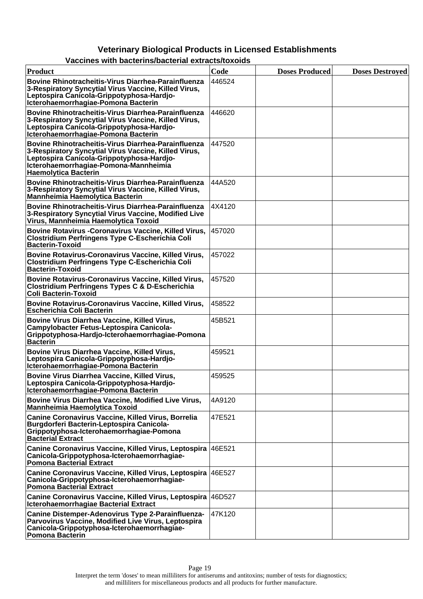| Product                                                                                                                                                                                                                          | Code   | <b>Doses Produced</b> | <b>Doses Destroyed</b> |
|----------------------------------------------------------------------------------------------------------------------------------------------------------------------------------------------------------------------------------|--------|-----------------------|------------------------|
| <b>Bovine Rhinotracheitis-Virus Diarrhea-Parainfluenza</b><br>3-Respiratory Syncytial Virus Vaccine, Killed Virus,<br>Leptospira Canicola-Grippotyphosa-Hardjo-<br>Icterohaemorrhagiae-Pomona Bacterin                           | 446524 |                       |                        |
| <b>Bovine Rhinotracheitis-Virus Diarrhea-Parainfluenza</b><br>3-Respiratory Syncytial Virus Vaccine, Killed Virus,<br>Leptospira Canicola-Grippotyphosa-Hardjo-<br>Icterohaemorrhagiae-Pomona Bacterin                           | 446620 |                       |                        |
| Bovine Rhinotracheitis-Virus Diarrhea-Parainfluenza<br>3-Respiratory Syncytial Virus Vaccine, Killed Virus,<br>Leptospira Canicola-Grippotyphosa-Hardjo-<br>Icterohaemorrhagiae-Pomona-Mannheimia<br><b>Haemolytica Bacterin</b> | 447520 |                       |                        |
| <b>Bovine Rhinotracheitis-Virus Diarrhea-Parainfluenza</b><br>3-Respiratory Syncytial Virus Vaccine, Killed Virus,<br><b>Mannheimia Haemolytica Bacterin</b>                                                                     | 44A520 |                       |                        |
| <b>Bovine Rhinotracheitis-Virus Diarrhea-Parainfluenza</b><br>3-Respiratory Syncytial Virus Vaccine, Modified Live<br>Virus, Mannheimia Haemolytica Toxoid                                                                       | 4X4120 |                       |                        |
| Bovine Rotavirus - Coronavirus Vaccine, Killed Virus,<br><b>Clostridium Perfringens Type C-Escherichia Coli</b><br><b>Bacterin-Toxoid</b>                                                                                        | 457020 |                       |                        |
| Bovine Rotavirus-Coronavirus Vaccine, Killed Virus,<br><b>Clostridium Perfringens Type C-Escherichia Coli</b><br><b>Bacterin-Toxoid</b>                                                                                          | 457022 |                       |                        |
| Bovine Rotavirus-Coronavirus Vaccine, Killed Virus,<br><b>Clostridium Perfringens Types C &amp; D-Escherichia</b><br><b>Coli Bacterin-Toxoid</b>                                                                                 | 457520 |                       |                        |
| Bovine Rotavirus-Coronavirus Vaccine, Killed Virus,<br><b>Escherichia Coli Bacterin</b>                                                                                                                                          | 458522 |                       |                        |
| Bovine Virus Diarrhea Vaccine, Killed Virus,<br>Campylobacter Fetus-Leptospira Canicola-<br>Grippotyphosa-Hardjo-Icterohaemorrhagiae-Pomona<br><b>Bacterin</b>                                                                   | 45B521 |                       |                        |
| Bovine Virus Diarrhea Vaccine, Killed Virus,<br>Leptospira Canicola-Grippotyphosa-Hardjo-<br>Icterohaemorrhagiae-Pomona Bacterin                                                                                                 | 459521 |                       |                        |
| Bovine Virus Diarrhea Vaccine, Killed Virus,<br>Leptospira Canicola-Grippotyphosa-Hardjo-<br>Icterohaemorrhagiae-Pomona Bacterin                                                                                                 | 459525 |                       |                        |
| Bovine Virus Diarrhea Vaccine, Modified Live Virus,<br><b>Mannheimia Haemolytica Toxoid</b>                                                                                                                                      | 4A9120 |                       |                        |
| Canine Coronavirus Vaccine, Killed Virus, Borrelia<br>Burgdorferi Bacterin-Leptospira Canicola-<br>Grippotyphosa-Icterohaemorrhagiae-Pomona<br><b>Bacterial Extract</b>                                                          | 47E521 |                       |                        |
| Canine Coronavirus Vaccine, Killed Virus, Leptospira 46E521<br>Canicola-Grippotyphosa-Icterohaemorrhagiae-<br><b>Pomona Bacterial Extract</b>                                                                                    |        |                       |                        |
| Canine Coronavirus Vaccine, Killed Virus, Leptospira   46E527<br>Canicola-Grippotyphosa-Icterohaemorrhagiae-<br><b>Pomona Bacterial Extract</b>                                                                                  |        |                       |                        |
| Canine Coronavirus Vaccine, Killed Virus, Leptospira 46D527<br>Icterohaemorrhagiae Bacterial Extract                                                                                                                             |        |                       |                        |
| Canine Distemper-Adenovirus Type 2-Parainfluenza-<br>Parvovirus Vaccine, Modified Live Virus, Leptospira<br>Canicola-Grippotyphosa-Icterohaemorrhagiae-<br><b>Pomona Bacterin</b>                                                | 47K120 |                       |                        |

#### **Vaccines with bacterins/bacterial extracts/toxoids**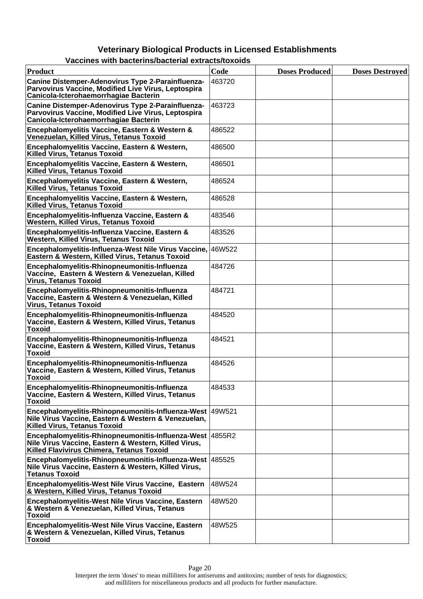| Product                                                                                                                                                       | Code   | <b>Doses Produced</b> | <b>Doses Destroyed</b> |
|---------------------------------------------------------------------------------------------------------------------------------------------------------------|--------|-----------------------|------------------------|
| Canine Distemper-Adenovirus Type 2-Parainfluenza-<br>Parvovirus Vaccine, Modified Live Virus, Leptospira<br>Canicola-Icterohaemorrhagiae Bacterin             | 463720 |                       |                        |
| Canine Distemper-Adenovirus Type 2-Parainfluenza-<br>Parvovirus Vaccine, Modified Live Virus, Leptospira<br>Canicola-Icterohaemorrhagiae Bacterin             | 463723 |                       |                        |
| Encephalomyelitis Vaccine, Eastern & Western &<br>Venezuelan, Killed Virus, Tetanus Toxoid                                                                    | 486522 |                       |                        |
| Encephalomyelitis Vaccine, Eastern & Western,<br><b>Killed Virus, Tetanus Toxoid</b>                                                                          | 486500 |                       |                        |
| Encephalomyelitis Vaccine, Eastern & Western,<br><b>Killed Virus, Tetanus Toxoid</b>                                                                          | 486501 |                       |                        |
| Encephalomyelitis Vaccine, Eastern & Western,<br><b>Killed Virus, Tetanus Toxoid</b>                                                                          | 486524 |                       |                        |
| Encephalomyelitis Vaccine, Eastern & Western,<br><b>Killed Virus, Tetanus Toxoid</b>                                                                          | 486528 |                       |                        |
| Encephalomyelitis-Influenza Vaccine, Eastern &<br><b>Western, Killed Virus, Tetanus Toxoid</b>                                                                | 483546 |                       |                        |
| Encephalomyelitis-Influenza Vaccine, Eastern &<br><b>Western, Killed Virus, Tetanus Toxoid</b>                                                                | 483526 |                       |                        |
| Encephalomyelitis-Influenza-West Nile Virus Vaccine, 46W522<br>Eastern & Western, Killed Virus, Tetanus Toxoid                                                |        |                       |                        |
| Encephalomyelitis-Rhinopneumonitis-Influenza<br>Vaccine, Eastern & Western & Venezuelan, Killed<br><b>Virus, Tetanus Toxoid</b>                               | 484726 |                       |                        |
| Encephalomyelitis-Rhinopneumonitis-Influenza<br>Vaccine, Eastern & Western & Venezuelan, Killed<br><b>Virus, Tetanus Toxoid</b>                               | 484721 |                       |                        |
| Encephalomyelitis-Rhinopneumonitis-Influenza<br>Vaccine, Eastern & Western, Killed Virus, Tetanus<br>Toxoid                                                   | 484520 |                       |                        |
| Encephalomyelitis-Rhinopneumonitis-Influenza<br>Vaccine, Eastern & Western, Killed Virus, Tetanus<br><b>Toxoid</b>                                            | 484521 |                       |                        |
| Encephalomyelitis-Rhinopneumonitis-Influenza<br>Vaccine, Eastern & Western, Killed Virus, Tetanus<br><b>Toxoid</b>                                            | 484526 |                       |                        |
| Encephalomyelitis-Rhinopneumonitis-Influenza<br>Vaccine, Eastern & Western, Killed Virus, Tetanus<br>Toxoid                                                   | 484533 |                       |                        |
| Encephalomyelitis-Rhinopneumonitis-Influenza-West 49W521<br>Nile Virus Vaccine, Eastern & Western & Venezuelan,<br><b>Killed Virus, Tetanus Toxoid</b>        |        |                       |                        |
| Encephalomyelitis-Rhinopneumonitis-Influenza-West 4855R2<br>Nile Virus Vaccine, Eastern & Western, Killed Virus,<br>Killed Flavivirus Chimera, Tetanus Toxoid |        |                       |                        |
| Encephalomyelitis-Rhinopneumonitis-Influenza-West   485525<br>Nile Virus Vaccine, Eastern & Western, Killed Virus,<br><b>Tetanus Toxoid</b>                   |        |                       |                        |
| Encephalomyelitis-West Nile Virus Vaccine, Eastern<br>& Western, Killed Virus, Tetanus Toxoid                                                                 | 48W524 |                       |                        |
| Encephalomyelitis-West Nile Virus Vaccine, Eastern<br>& Western & Venezuelan, Killed Virus, Tetanus<br><b>Toxoid</b>                                          | 48W520 |                       |                        |
| Encephalomyelitis-West Nile Virus Vaccine, Eastern<br>& Western & Venezuelan, Killed Virus, Tetanus<br><b>Toxoid</b>                                          | 48W525 |                       |                        |

#### **Vaccines with bacterins/bacterial extracts/toxoids**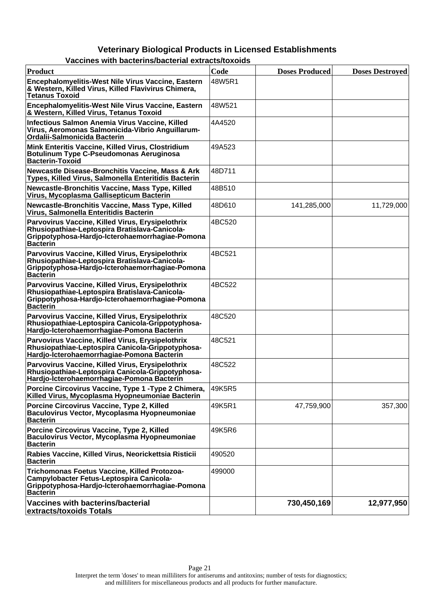| <b>Product</b>                                                                                                                                                          | Code   | <b>Doses Produced</b> | <b>Doses Destroyed</b> |
|-------------------------------------------------------------------------------------------------------------------------------------------------------------------------|--------|-----------------------|------------------------|
| Encephalomyelitis-West Nile Virus Vaccine, Eastern<br>& Western, Killed Virus, Killed Flavivirus Chimera,<br><b>Tetanus Toxoid</b>                                      | 48W5R1 |                       |                        |
| Encephalomyelitis-West Nile Virus Vaccine, Eastern<br>& Western, Killed Virus, Tetanus Toxoid                                                                           | 48W521 |                       |                        |
| Infectious Salmon Anemia Virus Vaccine, Killed<br>Virus, Aeromonas Salmonicida-Vibrio Anguillarum-<br>Ordalii-Salmonicida Bacterin                                      | 4A4520 |                       |                        |
| Mink Enteritis Vaccine, Killed Virus, Clostridium<br><b>Botulinum Type C-Pseudomonas Aeruginosa</b><br><b>Bacterin-Toxoid</b>                                           | 49A523 |                       |                        |
| <b>Newcastle Disease-Bronchitis Vaccine, Mass &amp; Ark</b><br>Types, Killed Virus, Salmonella Enteritidis Bacterin                                                     | 48D711 |                       |                        |
| Newcastle-Bronchitis Vaccine, Mass Type, Killed<br>Virus, Mycoplasma Gallisepticum Bacterin                                                                             | 48B510 |                       |                        |
| Newcastle-Bronchitis Vaccine, Mass Type, Killed<br>Virus, Salmonella Enteritidis Bacterin                                                                               | 48D610 | 141,285,000           | 11,729,000             |
| Parvovirus Vaccine, Killed Virus, Erysipelothrix<br>Rhusiopathiae-Leptospira Bratislava-Canicola-<br>Grippotyphosa-Hardjo-Icterohaemorrhagiae-Pomona<br><b>Bacterin</b> | 4BC520 |                       |                        |
| Parvovirus Vaccine, Killed Virus, Erysipelothrix<br>Rhusiopathiae-Leptospira Bratislava-Canicola-<br>Grippotyphosa-Hardio-Icterohaemorrhagiae-Pomona<br><b>Bacterin</b> | 4BC521 |                       |                        |
| Parvovirus Vaccine, Killed Virus, Erysipelothrix<br>Rhusiopathiae-Leptospira Bratislava-Canicola-<br>Grippotyphosa-Hardjo-Icterohaemorrhagiae-Pomona<br><b>Bacterin</b> | 4BC522 |                       |                        |
| Parvovirus Vaccine, Killed Virus, Erysipelothrix<br>Rhusiopathiae-Leptospira Canicola-Grippotyphosa-<br>Hardjo-Icterohaemorrhagiae-Pomona Bacterin                      | 48C520 |                       |                        |
| Parvovirus Vaccine, Killed Virus, Erysipelothrix<br>Rhusiopathiae-Leptospira Canicola-Grippotyphosa-<br>Hardjo-Icterohaemorrhagiae-Pomona Bacterin                      | 48C521 |                       |                        |
| Parvovirus Vaccine, Killed Virus, Erysipelothrix<br>Rhusiopathiae-Leptospira Canicola-Grippotyphosa-<br>Hardjo-Icterohaemorrhagiae-Pomona Bacterin                      | 48C522 |                       |                        |
| Porcine Circovirus Vaccine, Type 1 - Type 2 Chimera,<br>Killed Virus, Mycoplasma Hyopneumoniae Bacterin                                                                 | 49K5R5 |                       |                        |
| Porcine Circovirus Vaccine, Type 2, Killed<br>Baculovirus Vector, Mycoplasma Hyopneumoniae<br><b>Bacterin</b>                                                           | 49K5R1 | 47,759,900            | 357,300                |
| Porcine Circovirus Vaccine, Type 2, Killed<br>Baculovirus Vector, Mycoplasma Hyopneumoniae<br><b>Bacterin</b>                                                           | 49K5R6 |                       |                        |
| Rabies Vaccine, Killed Virus, Neorickettsia Risticii<br><b>Bacterin</b>                                                                                                 | 490520 |                       |                        |
| Trichomonas Foetus Vaccine, Killed Protozoa-<br>Campylobacter Fetus-Leptospira Canicola-<br>Grippotyphosa-Hardjo-Icterohaemorrhagiae-Pomona<br><b>Bacterin</b>          | 499000 |                       |                        |
| Vaccines with bacterins/bacterial<br>extracts/toxoids Totals                                                                                                            |        | 730,450,169           | 12,977,950             |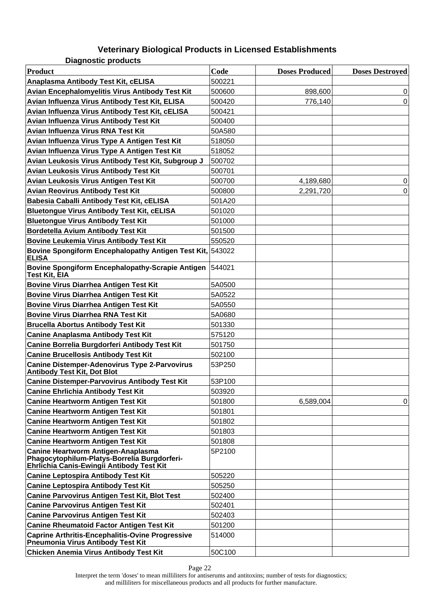**Diagnostic products**

| <b>Product</b>                                                                                                                  | Code   | <b>Doses Produced</b> | <b>Doses Destroved</b> |
|---------------------------------------------------------------------------------------------------------------------------------|--------|-----------------------|------------------------|
| Anaplasma Antibody Test Kit, cELISA                                                                                             | 500221 |                       |                        |
| Avian Encephalomyelitis Virus Antibody Test Kit                                                                                 | 500600 | 898,600               | 0                      |
| Avian Influenza Virus Antibody Test Kit, ELISA                                                                                  | 500420 | 776,140               | 0                      |
| Avian Influenza Virus Antibody Test Kit, cELISA                                                                                 | 500421 |                       |                        |
| Avian Influenza Virus Antibody Test Kit                                                                                         | 500400 |                       |                        |
| Avian Influenza Virus RNA Test Kit                                                                                              | 50A580 |                       |                        |
| Avian Influenza Virus Type A Antigen Test Kit                                                                                   | 518050 |                       |                        |
| Avian Influenza Virus Type A Antigen Test Kit                                                                                   | 518052 |                       |                        |
| Avian Leukosis Virus Antibody Test Kit, Subgroup J                                                                              | 500702 |                       |                        |
| Avian Leukosis Virus Antibody Test Kit                                                                                          | 500701 |                       |                        |
| Avian Leukosis Virus Antigen Test Kit                                                                                           | 500700 | 4,189,680             | 0                      |
| <b>Avian Reovirus Antibody Test Kit</b>                                                                                         | 500800 | 2,291,720             | 0                      |
| Babesia Caballi Antibody Test Kit, cELISA                                                                                       | 501A20 |                       |                        |
| <b>Bluetongue Virus Antibody Test Kit, cELISA</b>                                                                               | 501020 |                       |                        |
| <b>Bluetongue Virus Antibody Test Kit</b>                                                                                       | 501000 |                       |                        |
| Bordetella Avium Antibody Test Kit                                                                                              | 501500 |                       |                        |
| <b>Bovine Leukemia Virus Antibody Test Kit</b>                                                                                  | 550520 |                       |                        |
| Bovine Spongiform Encephalopathy Antigen Test Kit, 543022<br><b>ELISA</b>                                                       |        |                       |                        |
| <b>Bovine Spongiform Encephalopathy-Scrapie Antigen</b><br>Test Kit, EIA                                                        | 544021 |                       |                        |
| <b>Bovine Virus Diarrhea Antigen Test Kit</b>                                                                                   | 5A0500 |                       |                        |
| <b>Bovine Virus Diarrhea Antigen Test Kit</b>                                                                                   | 5A0522 |                       |                        |
| <b>Bovine Virus Diarrhea Antigen Test Kit</b>                                                                                   | 5A0550 |                       |                        |
| <b>Bovine Virus Diarrhea RNA Test Kit</b>                                                                                       | 5A0680 |                       |                        |
| <b>Brucella Abortus Antibody Test Kit</b>                                                                                       | 501330 |                       |                        |
| <b>Canine Anaplasma Antibody Test Kit</b>                                                                                       | 575120 |                       |                        |
| Canine Borrelia Burgdorferi Antibody Test Kit                                                                                   | 501750 |                       |                        |
| <b>Canine Brucellosis Antibody Test Kit</b>                                                                                     | 502100 |                       |                        |
| <b>Canine Distemper-Adenovirus Type 2-Parvovirus</b><br><b>Antibody Test Kit, Dot Blot</b>                                      | 53P250 |                       |                        |
| <b>Canine Distemper-Parvovirus Antibody Test Kit</b>                                                                            | 53P100 |                       |                        |
| <b>Canine Ehrlichia Antibody Test Kit</b>                                                                                       | 503920 |                       |                        |
| <b>Canine Heartworm Antigen Test Kit</b>                                                                                        | 501800 | 6,589,004             | 0                      |
| <b>Canine Heartworm Antigen Test Kit</b>                                                                                        | 501801 |                       |                        |
| <b>Canine Heartworm Antigen Test Kit</b>                                                                                        | 501802 |                       |                        |
| <b>Canine Heartworm Antigen Test Kit</b>                                                                                        | 501803 |                       |                        |
| Canine Heartworm Antigen Test Kit                                                                                               | 501808 |                       |                        |
| Canine Heartworm Antigen-Anaplasma<br>Phagocytophilum-Platys-Borrelia Burgdorferi-<br>Ehrlichia Canis-Ewingii Antibody Test Kit | 5P2100 |                       |                        |
| <b>Canine Leptospira Antibody Test Kit</b>                                                                                      | 505220 |                       |                        |
| <b>Canine Leptospira Antibody Test Kit</b>                                                                                      | 505250 |                       |                        |
| <b>Canine Parvovirus Antigen Test Kit, Blot Test</b>                                                                            | 502400 |                       |                        |
| <b>Canine Parvovirus Antigen Test Kit</b>                                                                                       | 502401 |                       |                        |
| <b>Canine Parvovirus Antigen Test Kit</b>                                                                                       | 502403 |                       |                        |
| <b>Canine Rheumatoid Factor Antigen Test Kit</b>                                                                                | 501200 |                       |                        |
| <b>Caprine Arthritis-Encephalitis-Ovine Progressive</b><br>Pneumonia Virus Antibody Test Kit                                    | 514000 |                       |                        |
| Chicken Anemia Virus Antibody Test Kit                                                                                          | 50C100 |                       |                        |

Page 22

Interpret the term 'doses' to mean milliliters for antiserums and antitoxins; number of tests for diagnostics; and milliliters for miscellaneous products and all products for further manufacture.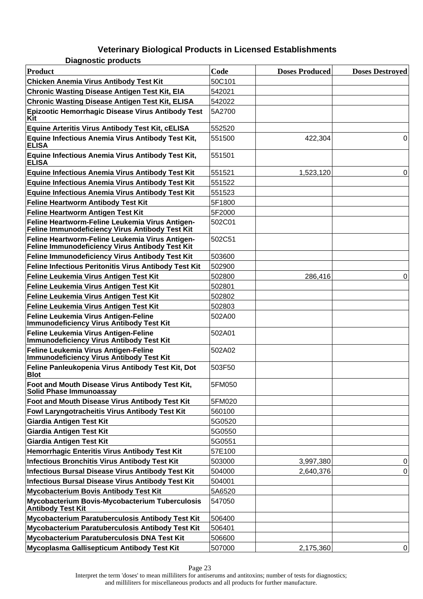| <b>Diagnostic products</b> |  |
|----------------------------|--|
|                            |  |

| Product                                                                                            | Code   | <b>Doses Produced</b> | <b>Doses Destroyed</b> |
|----------------------------------------------------------------------------------------------------|--------|-----------------------|------------------------|
| <b>Chicken Anemia Virus Antibody Test Kit</b>                                                      | 50C101 |                       |                        |
| <b>Chronic Wasting Disease Antigen Test Kit, EIA</b>                                               | 542021 |                       |                        |
| <b>Chronic Wasting Disease Antigen Test Kit, ELISA</b>                                             | 542022 |                       |                        |
| Epizootic Hemorrhagic Disease Virus Antibody Test<br>Kit                                           | 5A2700 |                       |                        |
| Equine Arteritis Virus Antibody Test Kit, cELISA                                                   | 552520 |                       |                        |
| Equine Infectious Anemia Virus Antibody Test Kit,<br><b>ELISA</b>                                  | 551500 | 422,304               | $\Omega$               |
| Equine Infectious Anemia Virus Antibody Test Kit,<br><b>ELISA</b>                                  | 551501 |                       |                        |
| <b>Equine Infectious Anemia Virus Antibody Test Kit</b>                                            | 551521 | 1,523,120             | 0                      |
| <b>Equine Infectious Anemia Virus Antibody Test Kit</b>                                            | 551522 |                       |                        |
| Equine Infectious Anemia Virus Antibody Test Kit                                                   | 551523 |                       |                        |
| <b>Feline Heartworm Antibody Test Kit</b>                                                          | 5F1800 |                       |                        |
| Feline Heartworm Antigen Test Kit                                                                  | 5F2000 |                       |                        |
| Feline Heartworm-Feline Leukemia Virus Antigen-<br>Feline Immunodeficiency Virus Antibody Test Kit | 502C01 |                       |                        |
| Feline Heartworm-Feline Leukemia Virus Antigen-<br>Feline Immunodeficiency Virus Antibody Test Kit | 502C51 |                       |                        |
| Feline Immunodeficiency Virus Antibody Test Kit                                                    | 503600 |                       |                        |
| <b>Feline Infectious Peritonitis Virus Antibody Test Kit</b>                                       | 502900 |                       |                        |
| Feline Leukemia Virus Antigen Test Kit                                                             | 502800 | 286,416               | 0                      |
| Feline Leukemia Virus Antigen Test Kit                                                             | 502801 |                       |                        |
| Feline Leukemia Virus Antigen Test Kit                                                             | 502802 |                       |                        |
| Feline Leukemia Virus Antigen Test Kit                                                             | 502803 |                       |                        |
| Feline Leukemia Virus Antigen-Feline<br><b>Immunodeficiency Virus Antibody Test Kit</b>            | 502A00 |                       |                        |
| Feline Leukemia Virus Antigen-Feline<br><b>Immunodeficiency Virus Antibody Test Kit</b>            | 502A01 |                       |                        |
| Feline Leukemia Virus Antigen-Feline<br><b>Immunodeficiency Virus Antibody Test Kit</b>            | 502A02 |                       |                        |
| Feline Panleukopenia Virus Antibody Test Kit, Dot<br><b>Blot</b>                                   | 503F50 |                       |                        |
| Foot and Mouth Disease Virus Antibody Test Kit,<br>Solid Phase Immunoassay                         | 5FM050 |                       |                        |
| Foot and Mouth Disease Virus Antibody Test Kit                                                     | 5FM020 |                       |                        |
| Fowl Laryngotracheitis Virus Antibody Test Kit                                                     | 560100 |                       |                        |
| <b>Giardia Antigen Test Kit</b>                                                                    | 5G0520 |                       |                        |
| <b>Giardia Antigen Test Kit</b>                                                                    | 5G0550 |                       |                        |
| <b>Giardia Antigen Test Kit</b>                                                                    | 5G0551 |                       |                        |
| Hemorrhagic Enteritis Virus Antibody Test Kit                                                      | 57E100 |                       |                        |
| Infectious Bronchitis Virus Antibody Test Kit                                                      | 503000 | 3,997,380             | 0                      |
| <b>Infectious Bursal Disease Virus Antibody Test Kit</b>                                           | 504000 | 2,640,376             | 0                      |
| <b>Infectious Bursal Disease Virus Antibody Test Kit</b>                                           | 504001 |                       |                        |
| <b>Mycobacterium Bovis Antibody Test Kit</b>                                                       | 5A6520 |                       |                        |
| Mycobacterium Bovis-Mycobacterium Tuberculosis<br><b>Antibody Test Kit</b>                         | 547050 |                       |                        |
| Mycobacterium Paratuberculosis Antibody Test Kit                                                   | 506400 |                       |                        |
| Mycobacterium Paratuberculosis Antibody Test Kit                                                   | 506401 |                       |                        |
| Mycobacterium Paratuberculosis DNA Test Kit                                                        | 506600 |                       |                        |
| Mycoplasma Gallisepticum Antibody Test Kit                                                         | 507000 | 2,175,360             | 0                      |

Interpret the term 'doses' to mean milliliters for antiserums and antitoxins; number of tests for diagnostics; and milliliters for miscellaneous products and all products for further manufacture.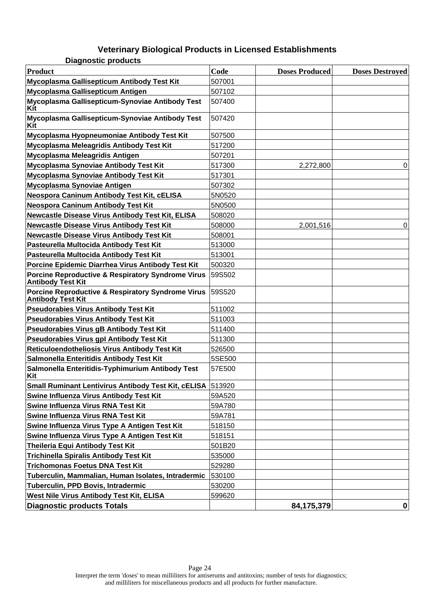|                            | . <i>.</i> |
|----------------------------|------------|
| <b>Diagnostic products</b> |            |

| <b>Product</b>                                                                           | Code   | <b>Doses Produced</b> | <b>Doses Destroyed</b> |
|------------------------------------------------------------------------------------------|--------|-----------------------|------------------------|
| Mycoplasma Gallisepticum Antibody Test Kit                                               | 507001 |                       |                        |
| Mycoplasma Gallisepticum Antigen                                                         | 507102 |                       |                        |
| Mycoplasma Gallisepticum-Synoviae Antibody Test<br>Kit                                   | 507400 |                       |                        |
| Mycoplasma Gallisepticum-Synoviae Antibody Test<br>Kit                                   | 507420 |                       |                        |
| Mycoplasma Hyopneumoniae Antibody Test Kit                                               | 507500 |                       |                        |
| Mycoplasma Meleagridis Antibody Test Kit                                                 | 517200 |                       |                        |
| Mycoplasma Meleagridis Antigen                                                           | 507201 |                       |                        |
| Mycoplasma Synoviae Antibody Test Kit                                                    | 517300 | 2,272,800             | 0                      |
| Mycoplasma Synoviae Antibody Test Kit                                                    | 517301 |                       |                        |
| Mycoplasma Synoviae Antigen                                                              | 507302 |                       |                        |
| Neospora Caninum Antibody Test Kit, cELISA                                               | 5N0520 |                       |                        |
| Neospora Caninum Antibody Test Kit                                                       | 5N0500 |                       |                        |
| Newcastle Disease Virus Antibody Test Kit, ELISA                                         | 508020 |                       |                        |
| <b>Newcastle Disease Virus Antibody Test Kit</b>                                         | 508000 | 2,001,516             | 0                      |
| <b>Newcastle Disease Virus Antibody Test Kit</b>                                         | 508001 |                       |                        |
| Pasteurella Multocida Antibody Test Kit                                                  | 513000 |                       |                        |
| Pasteurella Multocida Antibody Test Kit                                                  | 513001 |                       |                        |
| Porcine Epidemic Diarrhea Virus Antibody Test Kit                                        | 500320 |                       |                        |
| <b>Porcine Reproductive &amp; Respiratory Syndrome Virus</b><br><b>Antibody Test Kit</b> | 59S502 |                       |                        |
| <b>Porcine Reproductive &amp; Respiratory Syndrome Virus</b><br><b>Antibody Test Kit</b> | 59S520 |                       |                        |
| <b>Pseudorabies Virus Antibody Test Kit</b>                                              | 511002 |                       |                        |
| <b>Pseudorabies Virus Antibody Test Kit</b>                                              | 511003 |                       |                        |
| <b>Pseudorabies Virus gB Antibody Test Kit</b>                                           | 511400 |                       |                        |
| <b>Pseudorabies Virus gpl Antibody Test Kit</b>                                          | 511300 |                       |                        |
| Reticuloendotheliosis Virus Antibody Test Kit                                            | 526500 |                       |                        |
| Salmonella Enteritidis Antibody Test Kit                                                 | 5SE500 |                       |                        |
| Salmonella Enteritidis-Typhimurium Antibody Test<br>Kit                                  | 57E500 |                       |                        |
| <b>Small Ruminant Lentivirus Antibody Test Kit, cELISA 513920</b>                        |        |                       |                        |
| Swine Influenza Virus Antibody Test Kit                                                  | 59A520 |                       |                        |
| Swine Influenza Virus RNA Test Kit                                                       | 59A780 |                       |                        |
| Swine Influenza Virus RNA Test Kit                                                       | 59A781 |                       |                        |
| Swine Influenza Virus Type A Antigen Test Kit                                            | 518150 |                       |                        |
| Swine Influenza Virus Type A Antigen Test Kit                                            | 518151 |                       |                        |
| <b>Theileria Equi Antibody Test Kit</b>                                                  | 501B20 |                       |                        |
| <b>Trichinella Spiralis Antibody Test Kit</b>                                            | 535000 |                       |                        |
| <b>Trichomonas Foetus DNA Test Kit</b>                                                   | 529280 |                       |                        |
| Tuberculin, Mammalian, Human Isolates, Intradermic                                       | 530100 |                       |                        |
| Tuberculin, PPD Bovis, Intradermic                                                       | 530200 |                       |                        |
| West Nile Virus Antibody Test Kit, ELISA                                                 | 599620 |                       |                        |
| <b>Diagnostic products Totals</b>                                                        |        | 84,175,379            | 0                      |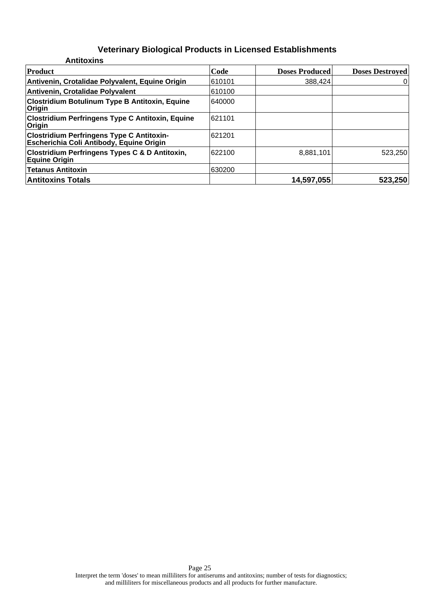| <b>Antitoxins</b>                                                                            |        |                       |                        |
|----------------------------------------------------------------------------------------------|--------|-----------------------|------------------------|
| <b>Product</b>                                                                               | Code   | <b>Doses Produced</b> | <b>Doses Destroyed</b> |
| Antivenin, Crotalidae Polyvalent, Equine Origin                                              | 610101 | 388,424               | 0                      |
| Antivenin, Crotalidae Polyvalent                                                             | 610100 |                       |                        |
| <b>Clostridium Botulinum Type B Antitoxin, Equine</b><br>Origin                              | 640000 |                       |                        |
| <b>Clostridium Perfringens Type C Antitoxin, Equine</b><br>Origin                            | 621101 |                       |                        |
| <b>Clostridium Perfringens Type C Antitoxin-</b><br>Escherichia Coli Antibody, Equine Origin | 621201 |                       |                        |
| <b>Clostridium Perfringens Types C &amp; D Antitoxin,</b><br><b>Equine Origin</b>            | 622100 | 8,881,101             | 523,250                |
| <b>Tetanus Antitoxin</b>                                                                     | 630200 |                       |                        |
| <b>Antitoxins Totals</b>                                                                     |        | 14,597,055            | 523,250                |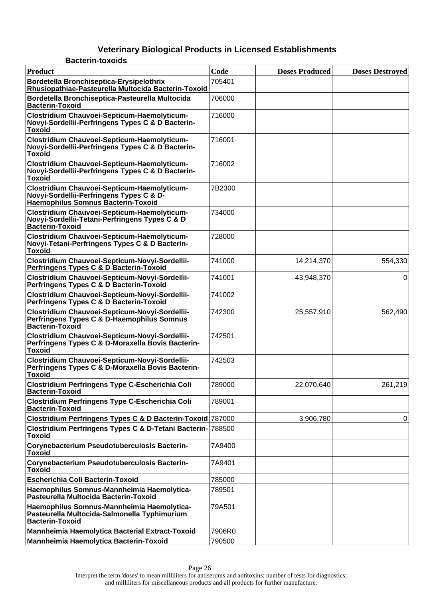| <b>Bacterin-toxoids</b>                                                                                                       |        |                       |                        |
|-------------------------------------------------------------------------------------------------------------------------------|--------|-----------------------|------------------------|
| Product                                                                                                                       | Code   | <b>Doses Produced</b> | <b>Doses Destroyed</b> |
| Bordetella Bronchiseptica-Erysipelothrix<br>Rhusiopathiae-Pasteurella Multocida Bacterin-Toxoid                               | 705401 |                       |                        |
| Bordetella Bronchiseptica-Pasteurella Multocida<br><b>Bacterin-Toxoid</b>                                                     | 706000 |                       |                        |
| Clostridium Chauvoei-Septicum-Haemolyticum-<br>Novyi-Sordellii-Perfringens Types C & D Bacterin-<br><b>Toxoid</b>             | 716000 |                       |                        |
| Clostridium Chauvoei-Septicum-Haemolyticum-<br>Novyi-Sordellii-Perfringens Types C & D Bacterin-<br><b>Toxoid</b>             | 716001 |                       |                        |
| Clostridium Chauvoei-Septicum-Haemolyticum-<br>Novyi-Sordellii-Perfringens Types C & D Bacterin-<br><b>Toxoid</b>             | 716002 |                       |                        |
| Clostridium Chauvoei-Septicum-Haemolyticum-<br>Novyi-Sordellii-Perfringens Types C & D-<br>Haemophilus Somnus Bacterin-Toxoid | 7B2300 |                       |                        |
| Clostridium Chauvoei-Septicum-Haemolyticum-<br>Novyi-Sordellii-Tetani-Perfringens Types C & D<br><b>Bacterin-Toxoid</b>       | 734000 |                       |                        |
| Clostridium Chauvoei-Septicum-Haemolyticum-<br>Novyi-Tetani-Perfringens Types C & D Bacterin-<br><b>Toxoid</b>                | 728000 |                       |                        |
| Clostridium Chauvoei-Septicum-Novyi-Sordellii-<br>Perfringens Types C & D Bacterin-Toxoid                                     | 741000 | 14,214,370            | 554,330                |
| Clostridium Chauvoei-Septicum-Novyi-Sordellii-<br>Perfringens Types C & D Bacterin-Toxoid                                     | 741001 | 43,948,370            | 0                      |
| Clostridium Chauvoei-Septicum-Novyi-Sordellii-<br>Perfringens Types C & D Bacterin-Toxoid                                     | 741002 |                       |                        |
| Clostridium Chauvoei-Septicum-Novyi-Sordellii-<br>Perfringens Types C & D-Haemophilus Somnus<br><b>Bacterin-Toxoid</b>        | 742300 | 25,557,910            | 562,490                |
| Clostridium Chauvoei-Septicum-Novyi-Sordellii-<br>Perfringens Types C & D-Moraxella Bovis Bacterin-<br><b>Toxoid</b>          | 742501 |                       |                        |
| Clostridium Chauvoei-Septicum-Novyi-Sordellii-<br>Perfringens Types C & D-Moraxella Bovis Bacterin-<br><b>Toxoid</b>          | 742503 |                       |                        |
| <b>Clostridium Perfringens Type C-Escherichia Coli</b><br><b>Bacterin-Toxoid</b>                                              | 789000 | 22,070,640            | 261,219                |
| <b>Clostridium Perfringens Type C-Escherichia Coli</b><br><b>Bacterin-Toxoid</b>                                              | 789001 |                       |                        |
| Clostridium Perfringens Types C & D Bacterin-Toxoid 787000                                                                    |        | 3,906,780             | 0                      |
| Clostridium Perfringens Types C & D-Tetani Bacterin- 788500<br><b>Toxoid</b>                                                  |        |                       |                        |
| Corynebacterium Pseudotuberculosis Bacterin-<br><b>Toxoid</b>                                                                 | 7A9400 |                       |                        |
| Corynebacterium Pseudotuberculosis Bacterin-<br><b>Toxoid</b>                                                                 | 7A9401 |                       |                        |
| <b>Escherichia Coli Bacterin-Toxoid</b>                                                                                       | 785000 |                       |                        |
| Haemophilus Somnus-Mannheimia Haemolytica-<br>Pasteurella Multocida Bacterin-Toxoid                                           | 789501 |                       |                        |
| Haemophilus Somnus-Mannheimia Haemolytica-<br>Pasteurella Multocida-Salmonella Typhimurium<br><b>Bacterin-Toxoid</b>          | 79A501 |                       |                        |
| Mannheimia Haemolytica Bacterial Extract-Toxoid                                                                               | 7906R0 |                       |                        |
| Mannheimia Haemolytica Bacterin-Toxoid                                                                                        | 790500 |                       |                        |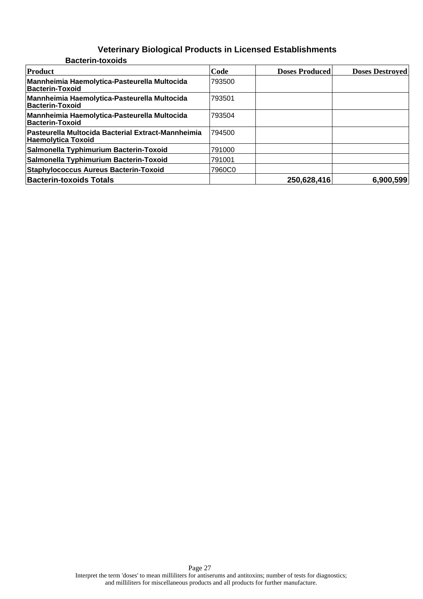#### **Veterinary Biological Products in Licensed Establishments Bacterin-toxoids**

| Product                                                                         | Code   | <b>Doses Produced</b> | <b>Doses Destroyed</b> |
|---------------------------------------------------------------------------------|--------|-----------------------|------------------------|
| Mannheimia Haemolytica-Pasteurella Multocida<br><b>Bacterin-Toxoid</b>          | 793500 |                       |                        |
| Mannheimia Haemolytica-Pasteurella Multocida<br>Bacterin-Toxoid                 | 793501 |                       |                        |
| Mannheimia Haemolytica-Pasteurella Multocida<br>Bacterin-Toxoid                 | 793504 |                       |                        |
| Pasteurella Multocida Bacterial Extract-Mannheimia<br><b>Haemolvtica Toxoid</b> | 794500 |                       |                        |
| Salmonella Typhimurium Bacterin-Toxoid                                          | 791000 |                       |                        |
| Salmonella Typhimurium Bacterin-Toxoid                                          | 791001 |                       |                        |
| <b>Staphylococcus Aureus Bacterin-Toxoid</b>                                    | 7960C0 |                       |                        |
| <b>Bacterin-toxoids Totals</b>                                                  |        | 250,628,416           | 6,900,599              |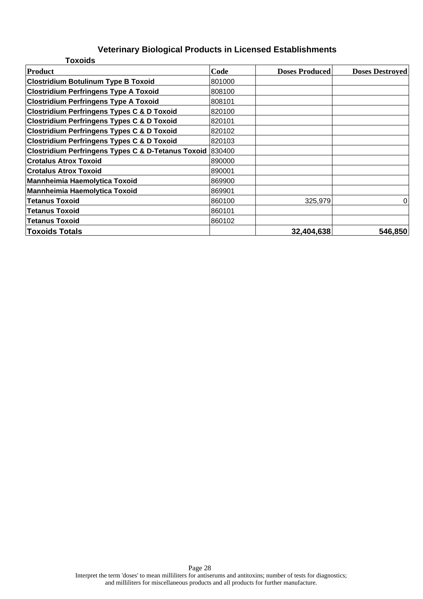| <b>Toxoids</b>                                            |        |                       |                        |
|-----------------------------------------------------------|--------|-----------------------|------------------------|
| Product                                                   | Code   | <b>Doses Produced</b> | <b>Doses Destroyed</b> |
| <b>Clostridium Botulinum Type B Toxoid</b>                | 801000 |                       |                        |
| <b>Clostridium Perfringens Type A Toxoid</b>              | 808100 |                       |                        |
| <b>Clostridium Perfringens Type A Toxoid</b>              | 808101 |                       |                        |
| <b>Clostridium Perfringens Types C &amp; D Toxoid</b>     | 820100 |                       |                        |
| <b>Clostridium Perfringens Types C &amp; D Toxoid</b>     | 820101 |                       |                        |
| <b>Clostridium Perfringens Types C &amp; D Toxoid</b>     | 820102 |                       |                        |
| <b>Clostridium Perfringens Types C &amp; D Toxoid</b>     | 820103 |                       |                        |
| Clostridium Perfringens Types C & D-Tetanus Toxoid 830400 |        |                       |                        |
| <b>Crotalus Atrox Toxoid</b>                              | 890000 |                       |                        |
| <b>Crotalus Atrox Toxoid</b>                              | 890001 |                       |                        |
| <b>Mannheimia Haemolytica Toxoid</b>                      | 869900 |                       |                        |
| Mannheimia Haemolytica Toxoid                             | 869901 |                       |                        |
| <b>Tetanus Toxoid</b>                                     | 860100 | 325,979               | 0                      |
| <b>Tetanus Toxoid</b>                                     | 860101 |                       |                        |
| <b>Tetanus Toxoid</b>                                     | 860102 |                       |                        |
| <b>Toxoids Totals</b>                                     |        | 32,404,638            | 546,850                |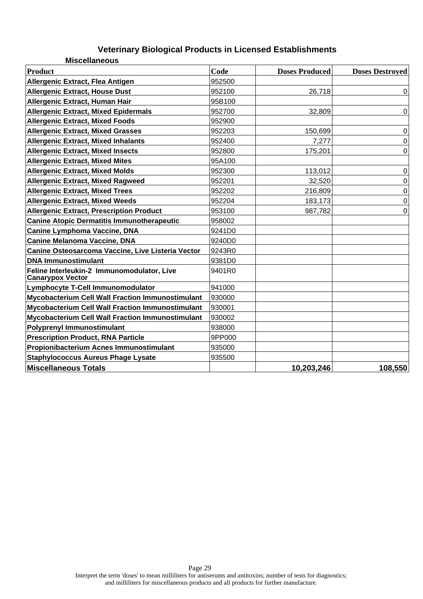| <b>Miscellaneous</b>                                                  |        |                       |                        |
|-----------------------------------------------------------------------|--------|-----------------------|------------------------|
| <b>Product</b>                                                        | Code   | <b>Doses Produced</b> | <b>Doses Destroyed</b> |
| Allergenic Extract, Flea Antigen                                      | 952500 |                       |                        |
| <b>Allergenic Extract, House Dust</b>                                 | 952100 | 26,718                | $\mathbf 0$            |
| Allergenic Extract, Human Hair                                        | 95B100 |                       |                        |
| <b>Allergenic Extract, Mixed Epidermals</b>                           | 952700 | 32,809                | $\overline{0}$         |
| <b>Allergenic Extract, Mixed Foods</b>                                | 952900 |                       |                        |
| <b>Allergenic Extract, Mixed Grasses</b>                              | 952203 | 150,699               | $\pmb{0}$              |
| <b>Allergenic Extract, Mixed Inhalants</b>                            | 952400 | 7,277                 | $\mathbf 0$            |
| <b>Allergenic Extract, Mixed Insects</b>                              | 952800 | 175,201               | $\mathbf 0$            |
| <b>Allergenic Extract, Mixed Mites</b>                                | 95A100 |                       |                        |
| <b>Allergenic Extract, Mixed Molds</b>                                | 952300 | 113,012               | $\mathbf 0$            |
| <b>Allergenic Extract, Mixed Ragweed</b>                              | 952201 | 32,520                | $\mathbf 0$            |
| <b>Allergenic Extract, Mixed Trees</b>                                | 952202 | 216,809               | $\mathbf 0$            |
| <b>Allergenic Extract, Mixed Weeds</b>                                | 952204 | 183,173               | $\mathbf 0$            |
| <b>Allergenic Extract, Prescription Product</b>                       | 953100 | 987,782               | 0                      |
| <b>Canine Atopic Dermatitis Immunotherapeutic</b>                     | 958002 |                       |                        |
| <b>Canine Lymphoma Vaccine, DNA</b>                                   | 9241D0 |                       |                        |
| <b>Canine Melanoma Vaccine, DNA</b>                                   | 9240D0 |                       |                        |
| Canine Osteosarcoma Vaccine, Live Listeria Vector                     | 9243R0 |                       |                        |
| <b>DNA Immunostimulant</b>                                            | 9381D0 |                       |                        |
| Feline Interleukin-2 Immunomodulator, Live<br><b>Canarypox Vector</b> | 9401R0 |                       |                        |
| Lymphocyte T-Cell Immunomodulator                                     | 941000 |                       |                        |
| <b>Mycobacterium Cell Wall Fraction Immunostimulant</b>               | 930000 |                       |                        |
| <b>Mycobacterium Cell Wall Fraction Immunostimulant</b>               | 930001 |                       |                        |
| <b>Mycobacterium Cell Wall Fraction Immunostimulant</b>               | 930002 |                       |                        |
| <b>Polyprenyl Immunostimulant</b>                                     | 938000 |                       |                        |
| <b>Prescription Product, RNA Particle</b>                             | 9PP000 |                       |                        |
| Propionibacterium Acnes Immunostimulant                               | 935000 |                       |                        |
| <b>Staphylococcus Aureus Phage Lysate</b>                             | 935500 |                       |                        |
| <b>Miscellaneous Totals</b>                                           |        | 10,203,246            | 108,550                |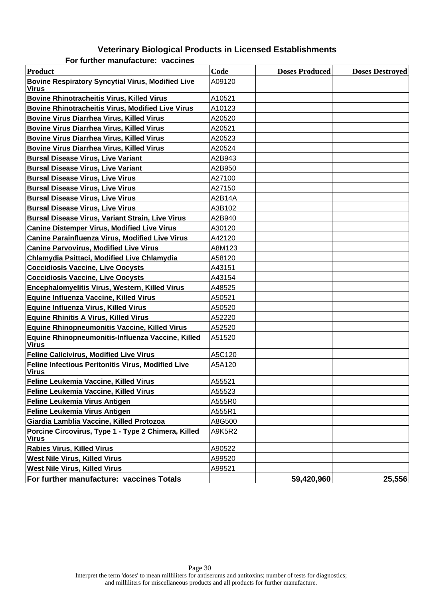#### **Veterinary Biological Products in Licensed Establishments For further manufacture: vaccines**

| Product                                                            | Code   | <b>Doses Produced</b> | <b>Doses Destroyed</b> |
|--------------------------------------------------------------------|--------|-----------------------|------------------------|
| <b>Bovine Respiratory Syncytial Virus, Modified Live</b><br>Virus  | A09120 |                       |                        |
| <b>Bovine Rhinotracheitis Virus, Killed Virus</b>                  | A10521 |                       |                        |
| <b>Bovine Rhinotracheitis Virus, Modified Live Virus</b>           | A10123 |                       |                        |
| <b>Bovine Virus Diarrhea Virus, Killed Virus</b>                   | A20520 |                       |                        |
| <b>Bovine Virus Diarrhea Virus, Killed Virus</b>                   | A20521 |                       |                        |
| <b>Bovine Virus Diarrhea Virus, Killed Virus</b>                   | A20523 |                       |                        |
| <b>Bovine Virus Diarrhea Virus, Killed Virus</b>                   | A20524 |                       |                        |
| <b>Bursal Disease Virus, Live Variant</b>                          | A2B943 |                       |                        |
| <b>Bursal Disease Virus, Live Variant</b>                          | A2B950 |                       |                        |
| <b>Bursal Disease Virus, Live Virus</b>                            | A27100 |                       |                        |
| <b>Bursal Disease Virus, Live Virus</b>                            | A27150 |                       |                        |
| <b>Bursal Disease Virus, Live Virus</b>                            | A2B14A |                       |                        |
| <b>Bursal Disease Virus, Live Virus</b>                            | A3B102 |                       |                        |
| <b>Bursal Disease Virus, Variant Strain, Live Virus</b>            | A2B940 |                       |                        |
| <b>Canine Distemper Virus, Modified Live Virus</b>                 | A30120 |                       |                        |
| <b>Canine Parainfluenza Virus, Modified Live Virus</b>             | A42120 |                       |                        |
| <b>Canine Parvovirus, Modified Live Virus</b>                      | A8M123 |                       |                        |
| Chlamydia Psittaci, Modified Live Chlamydia                        | A58120 |                       |                        |
| <b>Coccidiosis Vaccine, Live Oocysts</b>                           | A43151 |                       |                        |
| <b>Coccidiosis Vaccine, Live Oocysts</b>                           | A43154 |                       |                        |
| Encephalomyelitis Virus, Western, Killed Virus                     | A48525 |                       |                        |
| Equine Influenza Vaccine, Killed Virus                             | A50521 |                       |                        |
| <b>Equine Influenza Virus, Killed Virus</b>                        | A50520 |                       |                        |
| <b>Equine Rhinitis A Virus, Killed Virus</b>                       | A52220 |                       |                        |
| <b>Equine Rhinopneumonitis Vaccine, Killed Virus</b>               | A52520 |                       |                        |
| Equine Rhinopneumonitis-Influenza Vaccine, Killed<br><b>Virus</b>  | A51520 |                       |                        |
| <b>Feline Calicivirus, Modified Live Virus</b>                     | A5C120 |                       |                        |
| Feline Infectious Peritonitis Virus, Modified Live<br><b>Virus</b> | A5A120 |                       |                        |
| Feline Leukemia Vaccine, Killed Virus                              | A55521 |                       |                        |
| Feline Leukemia Vaccine, Killed Virus                              | A55523 |                       |                        |
| <b>Feline Leukemia Virus Antigen</b>                               | A555R0 |                       |                        |
| <b>Feline Leukemia Virus Antigen</b>                               | A555R1 |                       |                        |
| Giardia Lamblia Vaccine, Killed Protozoa                           | A8G500 |                       |                        |
| Porcine Circovirus, Type 1 - Type 2 Chimera, Killed<br>Virus       | A9K5R2 |                       |                        |
| <b>Rabies Virus, Killed Virus</b>                                  | A90522 |                       |                        |
| <b>West Nile Virus, Killed Virus</b>                               | A99520 |                       |                        |
| <b>West Nile Virus, Killed Virus</b>                               | A99521 |                       |                        |
| For further manufacture: vaccines Totals                           |        | 59,420,960            | 25,556                 |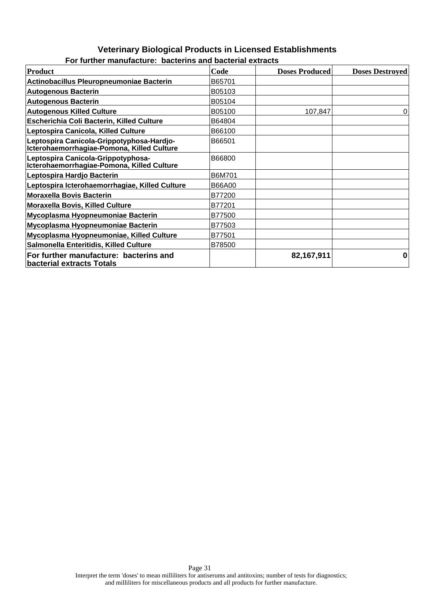#### **Veterinary Biological Products in Licensed Establishments For further manufacture: bacterins and bacterial extracts**

| Product                                                                                 | Code   | <b>Doses Produced</b> | <b>Doses Destroyed</b> |
|-----------------------------------------------------------------------------------------|--------|-----------------------|------------------------|
| Actinobacillus Pleuropneumoniae Bacterin                                                | B65701 |                       |                        |
| <b>Autogenous Bacterin</b>                                                              | B05103 |                       |                        |
| <b>Autogenous Bacterin</b>                                                              | B05104 |                       |                        |
| <b>Autogenous Killed Culture</b>                                                        | B05100 | 107,847               | 0                      |
| Escherichia Coli Bacterin, Killed Culture                                               | B64804 |                       |                        |
| Leptospira Canicola, Killed Culture                                                     | B66100 |                       |                        |
| Leptospira Canicola-Grippotyphosa-Hardjo-<br>Icterohaemorrhagiae-Pomona, Killed Culture | B66501 |                       |                        |
| Leptospira Canicola-Grippotyphosa-<br>Icterohaemorrhagiae-Pomona, Killed Culture        | B66800 |                       |                        |
| Leptospira Hardjo Bacterin                                                              | B6M701 |                       |                        |
| Leptospira Icterohaemorrhagiae, Killed Culture                                          | B66A00 |                       |                        |
| <b>Moraxella Bovis Bacterin</b>                                                         | B77200 |                       |                        |
| <b>Moraxella Bovis, Killed Culture</b>                                                  | B77201 |                       |                        |
| Mycoplasma Hyopneumoniae Bacterin                                                       | B77500 |                       |                        |
| Mycoplasma Hyopneumoniae Bacterin                                                       | B77503 |                       |                        |
| Mycoplasma Hyopneumoniae, Killed Culture                                                | B77501 |                       |                        |
| Salmonella Enteritidis, Killed Culture                                                  | B78500 |                       |                        |
| For further manufacture: bacterins and<br>bacterial extracts Totals                     |        | 82,167,911            |                        |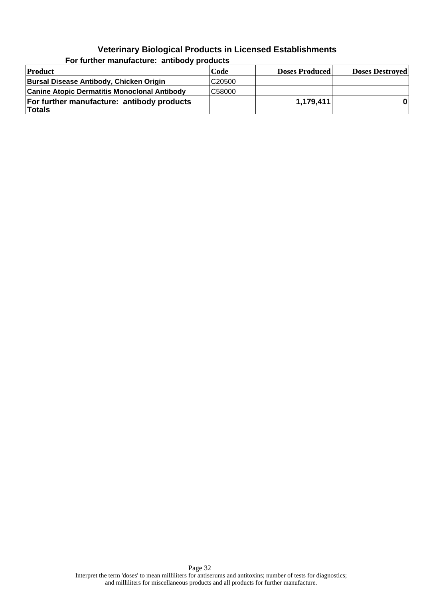| Product                                              | Code               | <b>Doses Produced</b> | <b>Doses Destroyed</b> |
|------------------------------------------------------|--------------------|-----------------------|------------------------|
| Bursal Disease Antibody, Chicken Origin              | C <sub>20500</sub> |                       |                        |
| <b>Canine Atopic Dermatitis Monoclonal Antibody</b>  | C58000             |                       |                        |
| For further manufacture: antibody products<br>Totals |                    | 1,179,411             |                        |

**For further manufacture: antibody products**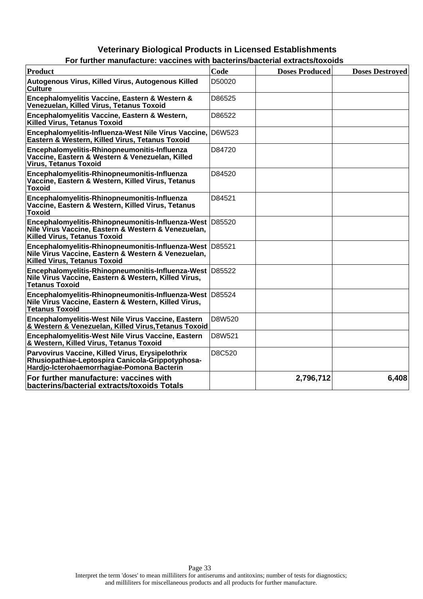| For further manufacture: vaccines with bacterins/bacterial extracts/toxolds                                                                            |        |                       |                        |
|--------------------------------------------------------------------------------------------------------------------------------------------------------|--------|-----------------------|------------------------|
| <b>Product</b>                                                                                                                                         | Code   | <b>Doses Produced</b> | <b>Doses Destroyed</b> |
| Autogenous Virus, Killed Virus, Autogenous Killed<br>Culture                                                                                           | D50020 |                       |                        |
| Encephalomyelitis Vaccine, Eastern & Western &<br>Venezuelan, Killed Virus, Tetanus Toxoid                                                             | D86525 |                       |                        |
| Encephalomyelitis Vaccine, Eastern & Western,<br>Killed Virus, Tetanus Toxoid                                                                          | D86522 |                       |                        |
| Encephalomyelitis-Influenza-West Nile Virus Vaccine, D6W523<br>Eastern & Western, Killed Virus, Tetanus Toxoid                                         |        |                       |                        |
| Encephalomyelitis-Rhinopneumonitis-Influenza<br>Vaccine, Eastern & Western & Venezuelan, Killed<br><b>Virus, Tetanus Toxoid</b>                        | D84720 |                       |                        |
| Encephalomyelitis-Rhinopneumonitis-Influenza<br>Vaccine, Eastern & Western, Killed Virus, Tetanus<br><b>Toxoid</b>                                     | D84520 |                       |                        |
| Encephalomyelitis-Rhinopneumonitis-Influenza<br>Vaccine, Eastern & Western, Killed Virus, Tetanus<br><b>Toxoid</b>                                     | D84521 |                       |                        |
| Encephalomyelitis-Rhinopneumonitis-Influenza-West D85520<br>Nile Virus Vaccine, Eastern & Western & Venezuelan,<br><b>Killed Virus, Tetanus Toxoid</b> |        |                       |                        |
| Encephalomyelitis-Rhinopneumonitis-Influenza-West D85521<br>Nile Virus Vaccine, Eastern & Western & Venezuelan,<br><b>Killed Virus, Tetanus Toxoid</b> |        |                       |                        |
| Encephalomyelitis-Rhinopneumonitis-Influenza-West D85522<br>Nile Virus Vaccine, Eastern & Western, Killed Virus,<br><b>Tetanus Toxoid</b>              |        |                       |                        |
| Encephalomyelitis-Rhinopneumonitis-Influenza-West D85524<br>Nile Virus Vaccine, Eastern & Western, Killed Virus,<br><b>Tetanus Toxoid</b>              |        |                       |                        |
| Encephalomyelitis-West Nile Virus Vaccine, Eastern<br>& Western & Venezuelan, Killed Virus, Tetanus Toxoid                                             | D8W520 |                       |                        |
| Encephalomyelitis-West Nile Virus Vaccine, Eastern<br>& Western, Killed Virus, Tetanus Toxoid                                                          | D8W521 |                       |                        |
| Parvovirus Vaccine, Killed Virus, Erysipelothrix<br>Rhusiopathiae-Leptospira Canicola-Grippotyphosa-<br>Hardjo-Icterohaemorrhagiae-Pomona Bacterin     | D8C520 |                       |                        |
| For further manufacture: vaccines with<br>bacterins/bacterial extracts/toxoids Totals                                                                  |        | 2,796,712             | 6,408                  |

| For further manufacture: vaccines with bacterins/bacterial extracts/toxoids |  |  |  |
|-----------------------------------------------------------------------------|--|--|--|
|                                                                             |  |  |  |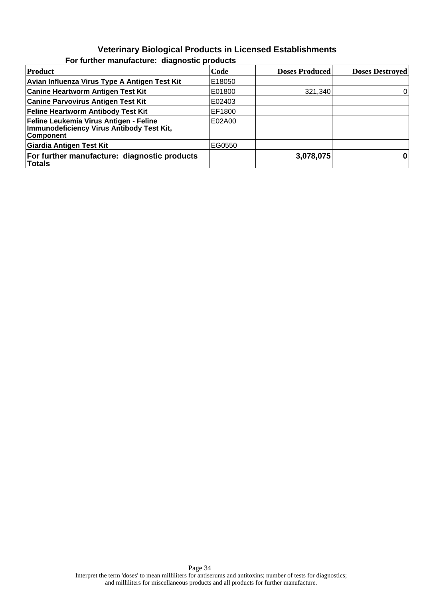| Product                                                                                                 | Code   | <b>Doses Produced</b> | <b>Doses Destroyed</b> |
|---------------------------------------------------------------------------------------------------------|--------|-----------------------|------------------------|
| Avian Influenza Virus Type A Antigen Test Kit                                                           | E18050 |                       |                        |
| <b>Canine Heartworm Antigen Test Kit</b>                                                                | E01800 | 321,340               | 0                      |
| <b>Canine Parvovirus Antigen Test Kit</b>                                                               | E02403 |                       |                        |
| <b>Feline Heartworm Antibody Test Kit</b>                                                               | EF1800 |                       |                        |
| Feline Leukemia Virus Antigen - Feline<br>Immunodeficiency Virus Antibody Test Kit,<br><b>Component</b> | E02A00 |                       |                        |
| Giardia Antigen Test Kit                                                                                | EG0550 |                       |                        |
| For further manufacture: diagnostic products<br><b>Totals</b>                                           |        | 3,078,075             | $\bf{0}$               |

#### **For further manufacture: diagnostic products**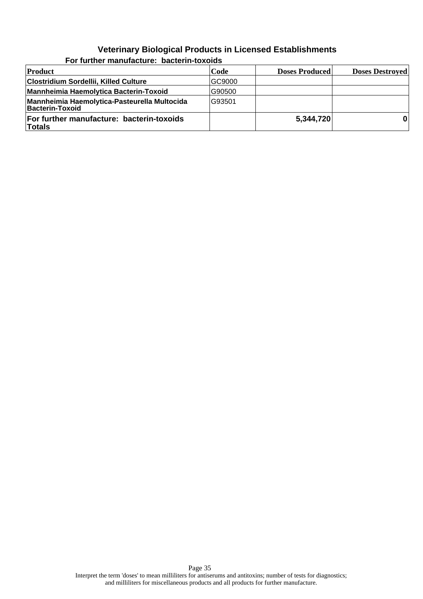| Product                                                         | Code   | <b>Doses Produced</b> | <b>Doses Destroyed</b> |
|-----------------------------------------------------------------|--------|-----------------------|------------------------|
| Clostridium Sordellii, Killed Culture                           | GC9000 |                       |                        |
| Mannheimia Haemolytica Bacterin-Toxoid                          | G90500 |                       |                        |
| Mannheimia Haemolytica-Pasteurella Multocida<br>Bacterin-Toxoid | G93501 |                       |                        |
| For further manufacture: bacterin-toxoids<br>Totals             |        | 5,344,720             |                        |

**For further manufacture: bacterin-toxoids**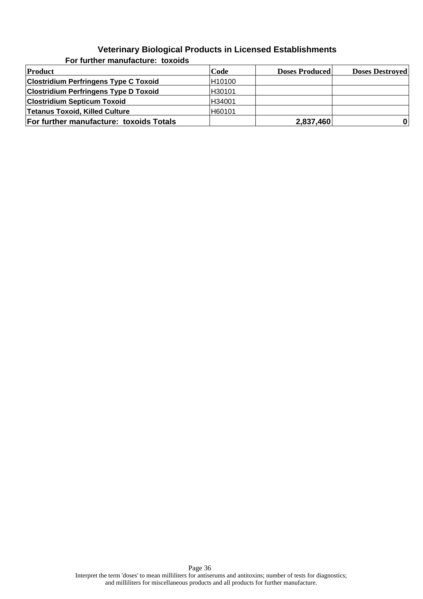| Product                                      | Code   | <b>Doses Produced</b> | <b>Doses Destroyed</b> |  |
|----------------------------------------------|--------|-----------------------|------------------------|--|
| <b>Clostridium Perfringens Type C Toxoid</b> | H10100 |                       |                        |  |
| <b>Clostridium Perfringens Type D Toxoid</b> | H30101 |                       |                        |  |
| <b>Clostridium Septicum Toxoid</b>           | H34001 |                       |                        |  |
| <b>Tetanus Toxoid, Killed Culture</b>        | H60101 |                       |                        |  |
| For further manufacture: toxoids Totals      |        | 2,837,460             | $\mathbf{0}$           |  |

**For further manufacture: toxoids**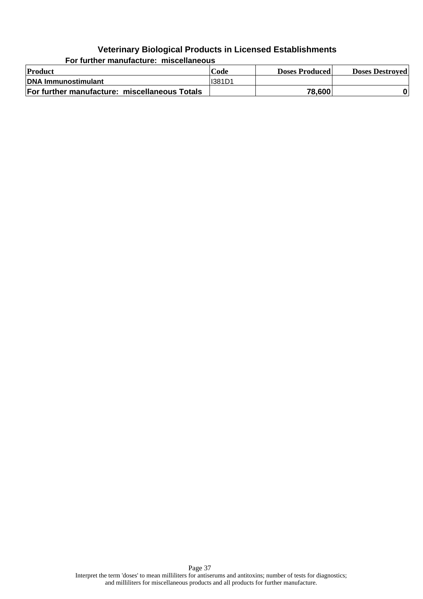**Product Code Doses Produced Doses Destroyed DNA Immunostimulant I** I381D1 **For further manufacture: miscellaneous Totals 18.1 <b>19.1 12.1 12.1 12.1 12.1 12.1 12.1 13.600 0** 

**For further manufacture: miscellaneous**